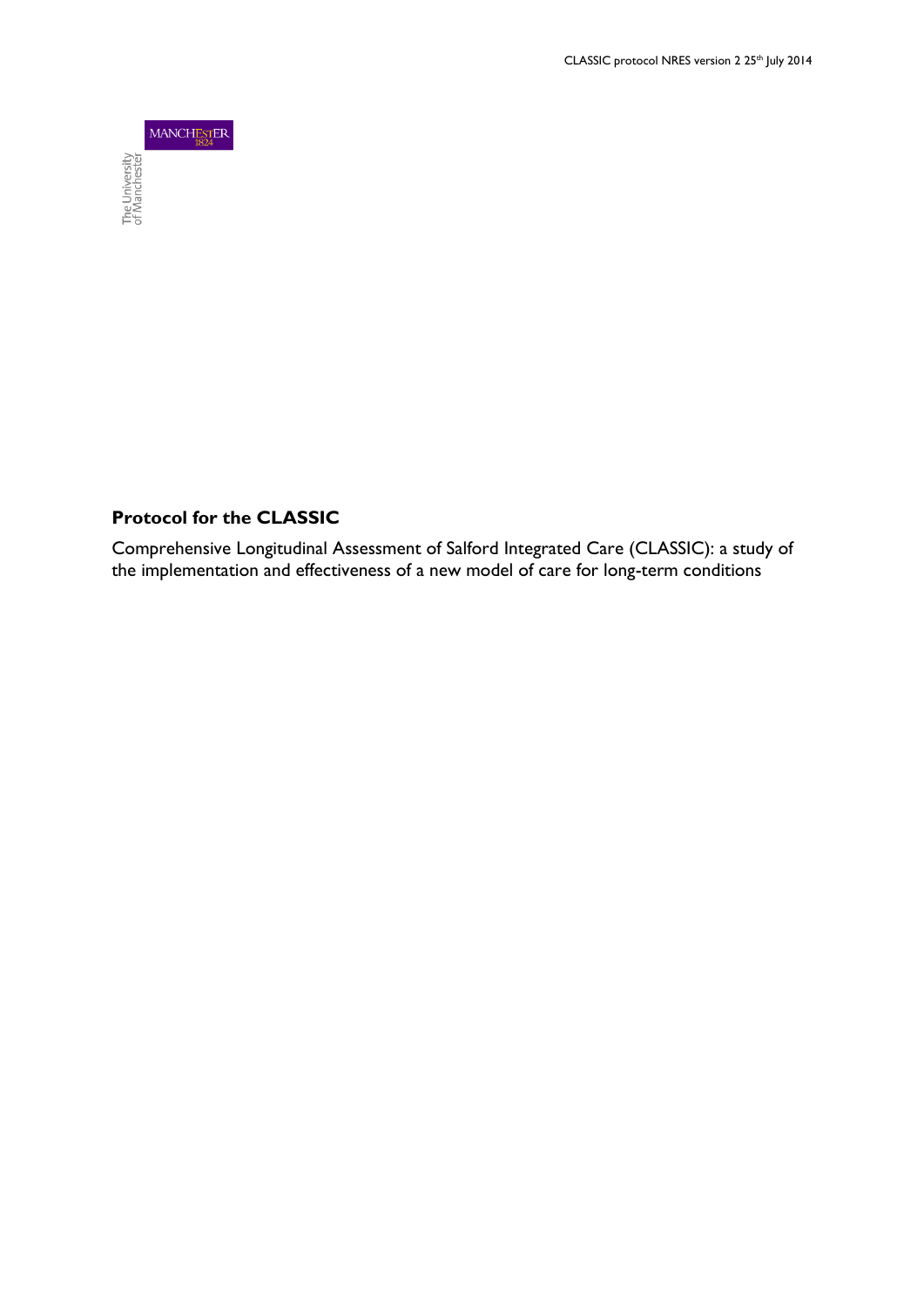

# **Protocol for the CLASSIC**

Comprehensive Longitudinal Assessment of Salford Integrated Care (CLASSIC): a study of the implementation and effectiveness of a new model of care for long-term conditions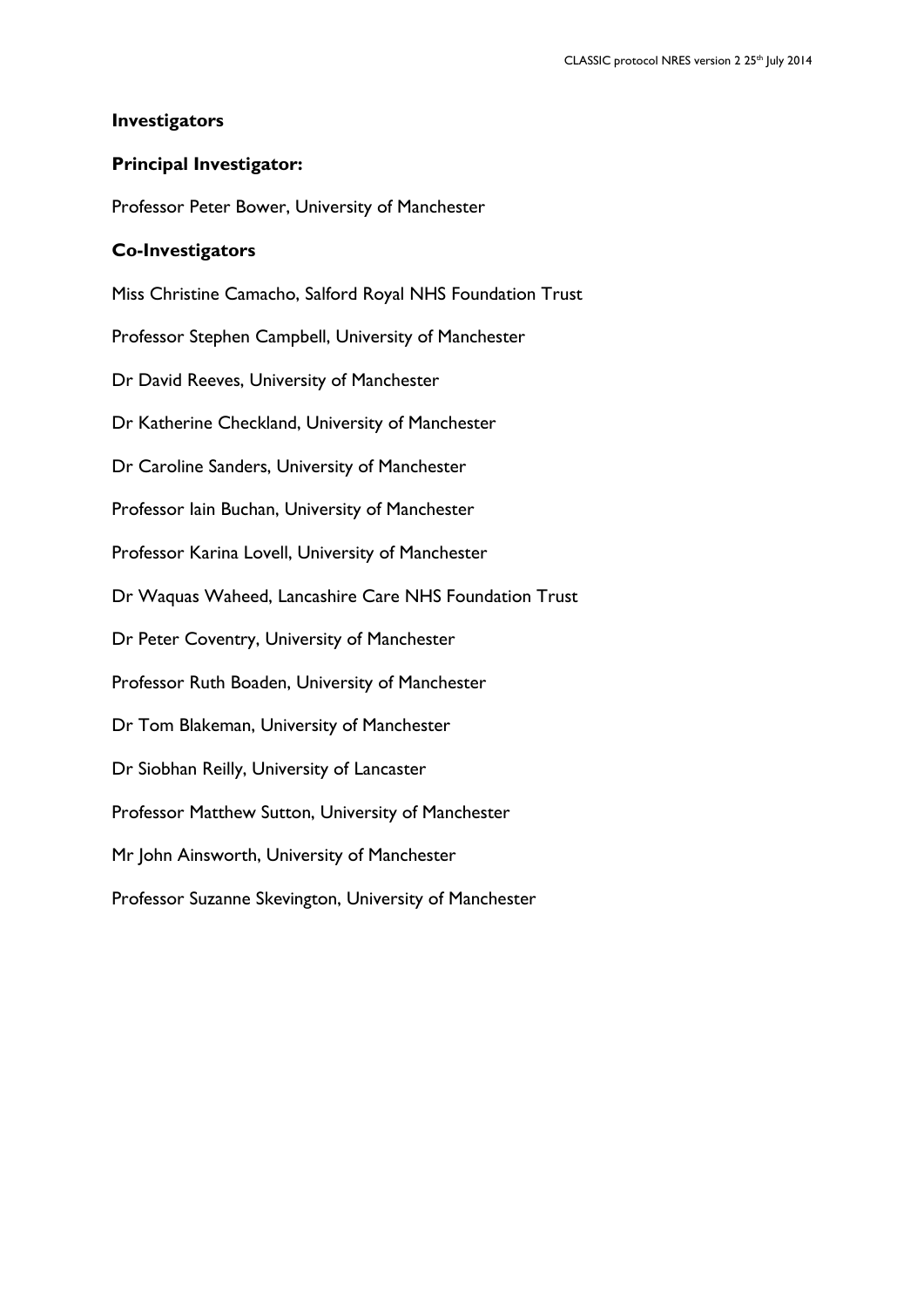## **Investigators**

## **Principal Investigator:**

Professor Peter Bower, University of Manchester

### **Co-Investigators**

Miss Christine Camacho, Salford Royal NHS Foundation Trust

Professor Stephen Campbell, University of Manchester

Dr David Reeves, University of Manchester

Dr Katherine Checkland, University of Manchester

Dr Caroline Sanders, University of Manchester

Professor Iain Buchan, University of Manchester

Professor Karina Lovell, University of Manchester

Dr Waquas Waheed, Lancashire Care NHS Foundation Trust

Dr Peter Coventry, University of Manchester

Professor Ruth Boaden, University of Manchester

Dr Tom Blakeman, University of Manchester

Dr Siobhan Reilly, University of Lancaster

Professor Matthew Sutton, University of Manchester

Mr John Ainsworth, University of Manchester

Professor Suzanne Skevington, University of Manchester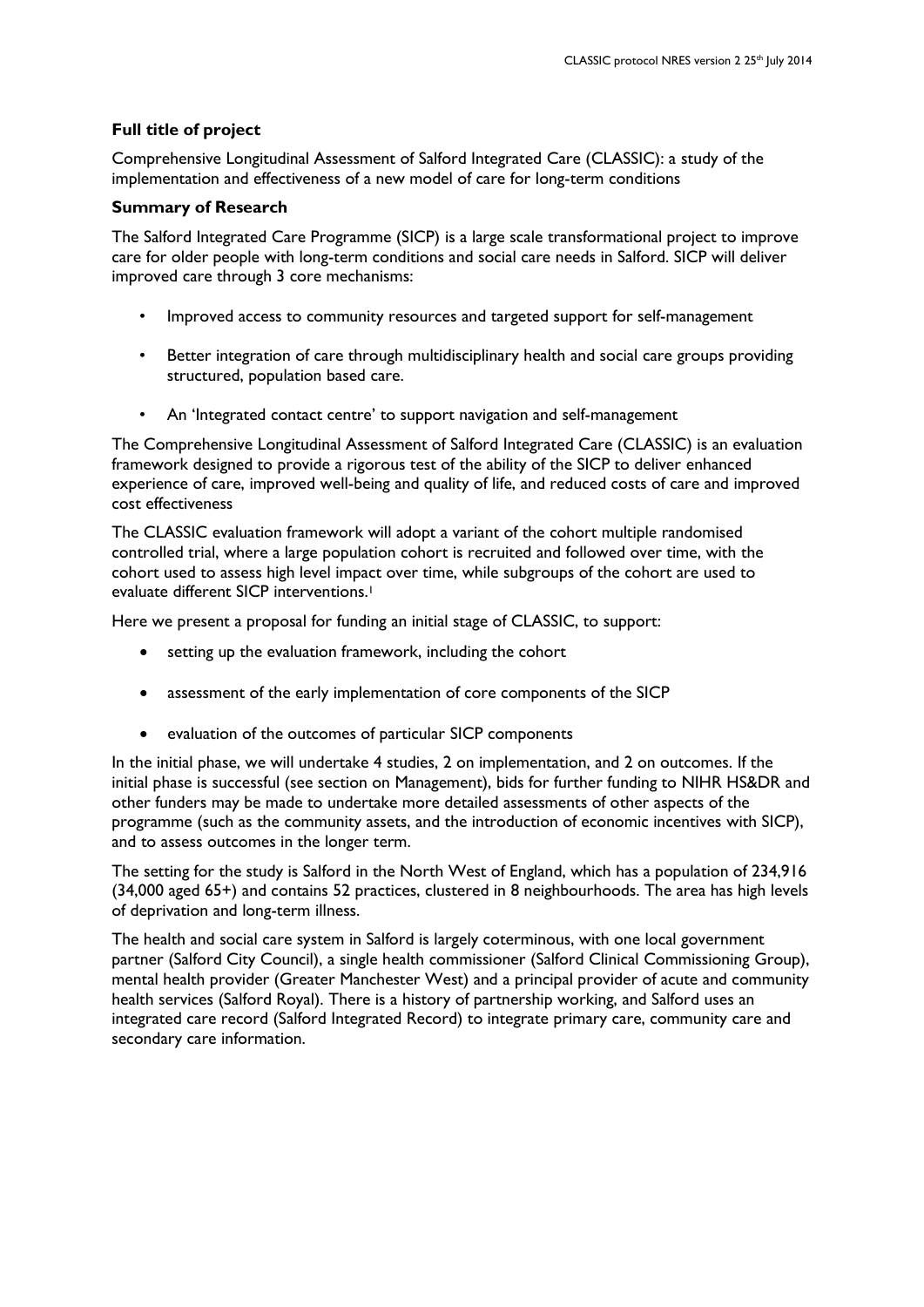#### **Full title of project**

Comprehensive Longitudinal Assessment of Salford Integrated Care (CLASSIC): a study of the implementation and effectiveness of a new model of care for long-term conditions

#### **Summary of Research**

The Salford Integrated Care Programme (SICP) is a large scale transformational project to improve care for older people with long-term conditions and social care needs in Salford. SICP will deliver improved care through 3 core mechanisms:

- Improved access to community resources and targeted support for self-management
- Better integration of care through multidisciplinary health and social care groups providing structured, population based care.
- An 'Integrated contact centre' to support navigation and self-management

The Comprehensive Longitudinal Assessment of Salford Integrated Care (CLASSIC) is an evaluation framework designed to provide a rigorous test of the ability of the SICP to deliver enhanced experience of care, improved well-being and quality of life, and reduced costs of care and improved cost effectiveness

The CLASSIC evaluation framework will adopt a variant of the cohort multiple randomised controlled trial, where a large population cohort is recruited and followed over time, with the cohort used to assess high level impact over time, while subgroups of the cohort are used to evaluate different SICP interventions.<sup>1</sup>

Here we present a proposal for funding an initial stage of CLASSIC, to support:

- setting up the evaluation framework, including the cohort
- assessment of the early implementation of core components of the SICP
- evaluation of the outcomes of particular SICP components

In the initial phase, we will undertake 4 studies, 2 on implementation, and 2 on outcomes. If the initial phase is successful (see section on Management), bids for further funding to NIHR HS&DR and other funders may be made to undertake more detailed assessments of other aspects of the programme (such as the community assets, and the introduction of economic incentives with SICP), and to assess outcomes in the longer term.

The setting for the study is Salford in the North West of England, which has a population of 234,916 (34,000 aged 65+) and contains 52 practices, clustered in 8 neighbourhoods. The area has high levels of deprivation and long-term illness.

The health and social care system in Salford is largely coterminous, with one local government partner (Salford City Council), a single health commissioner (Salford Clinical Commissioning Group), mental health provider (Greater Manchester West) and a principal provider of acute and community health services (Salford Royal). There is a history of partnership working, and Salford uses an integrated care record (Salford Integrated Record) to integrate primary care, community care and secondary care information.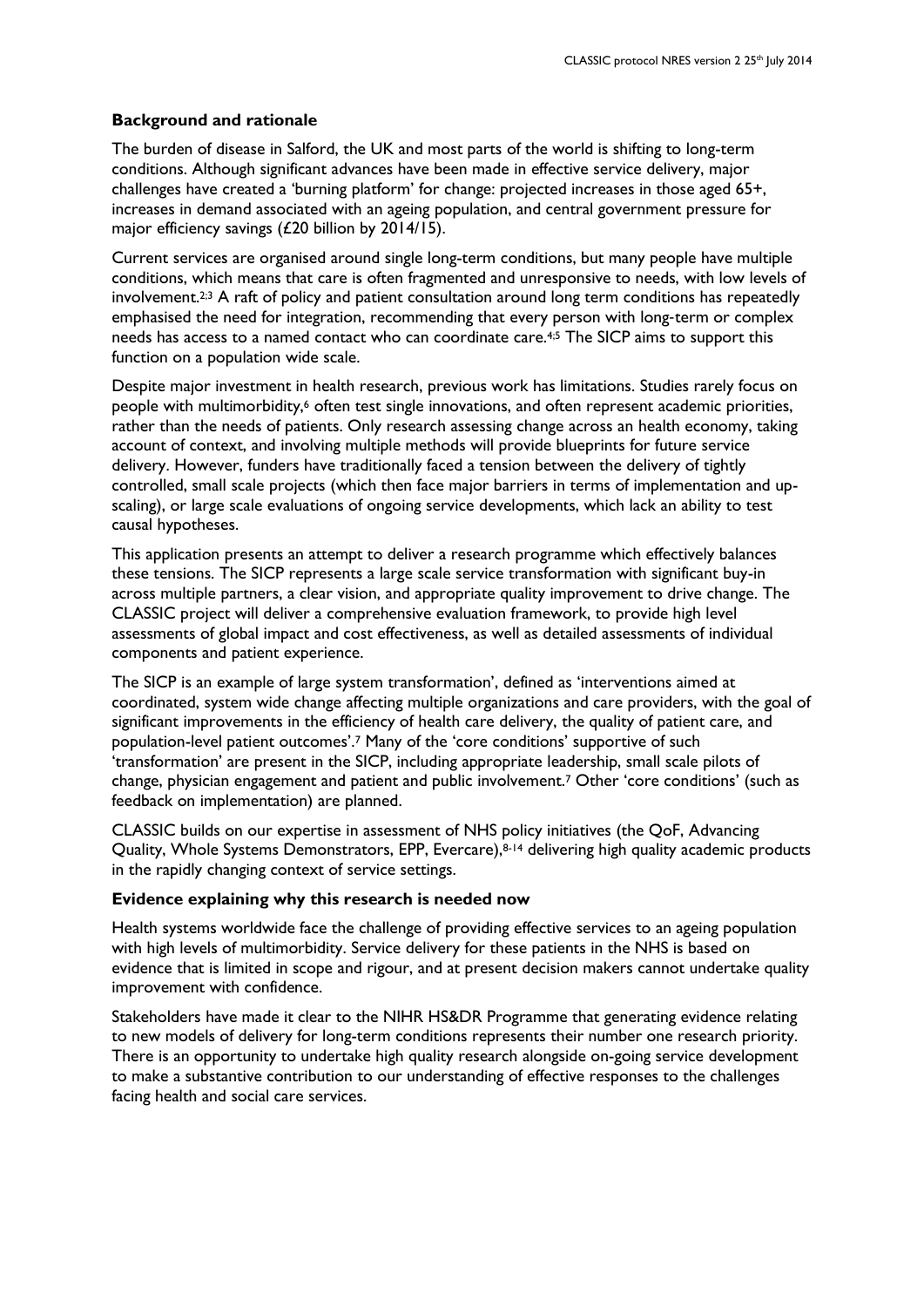### **Background and rationale**

The burden of disease in Salford, the UK and most parts of the world is shifting to long-term conditions. Although significant advances have been made in effective service delivery, major challenges have created a 'burning platform' for change: projected increases in those aged 65+, increases in demand associated with an ageing population, and central government pressure for major efficiency savings (£20 billion by 2014/15).

Current services are organised around single long-term conditions, but many people have multiple conditions, which means that care is often fragmented and unresponsive to needs, with low levels of involvement.<sup>2;3</sup> A raft of policy and patient consultation around long term conditions has repeatedly emphasised the need for integration, recommending that every person with long-term or complex needs has access to a named contact who can coordinate care.4;5 The SICP aims to support this function on a population wide scale.

Despite major investment in health research, previous work has limitations. Studies rarely focus on people with multimorbidity,<sup>6</sup> often test single innovations, and often represent academic priorities, rather than the needs of patients. Only research assessing change across an health economy, taking account of context, and involving multiple methods will provide blueprints for future service delivery. However, funders have traditionally faced a tension between the delivery of tightly controlled, small scale projects (which then face major barriers in terms of implementation and upscaling), or large scale evaluations of ongoing service developments, which lack an ability to test causal hypotheses.

This application presents an attempt to deliver a research programme which effectively balances these tensions. The SICP represents a large scale service transformation with significant buy-in across multiple partners, a clear vision, and appropriate quality improvement to drive change. The CLASSIC project will deliver a comprehensive evaluation framework, to provide high level assessments of global impact and cost effectiveness, as well as detailed assessments of individual components and patient experience.

The SICP is an example of large system transformation', defined as 'interventions aimed at coordinated, system wide change affecting multiple organizations and care providers, with the goal of significant improvements in the efficiency of health care delivery, the quality of patient care, and population-level patient outcomes'.<sup>7</sup> Many of the 'core conditions' supportive of such 'transformation' are present in the SICP, including appropriate leadership, small scale pilots of change, physician engagement and patient and public involvement.<sup>7</sup> Other 'core conditions' (such as feedback on implementation) are planned.

CLASSIC builds on our expertise in assessment of NHS policy initiatives (the QoF, Advancing Quality, Whole Systems Demonstrators, EPP, Evercare),<sup>8-14</sup> delivering high quality academic products in the rapidly changing context of service settings.

### **Evidence explaining why this research is needed now**

Health systems worldwide face the challenge of providing effective services to an ageing population with high levels of multimorbidity. Service delivery for these patients in the NHS is based on evidence that is limited in scope and rigour, and at present decision makers cannot undertake quality improvement with confidence.

Stakeholders have made it clear to the NIHR HS&DR Programme that generating evidence relating to new models of delivery for long-term conditions represents their number one research priority. There is an opportunity to undertake high quality research alongside on-going service development to make a substantive contribution to our understanding of effective responses to the challenges facing health and social care services.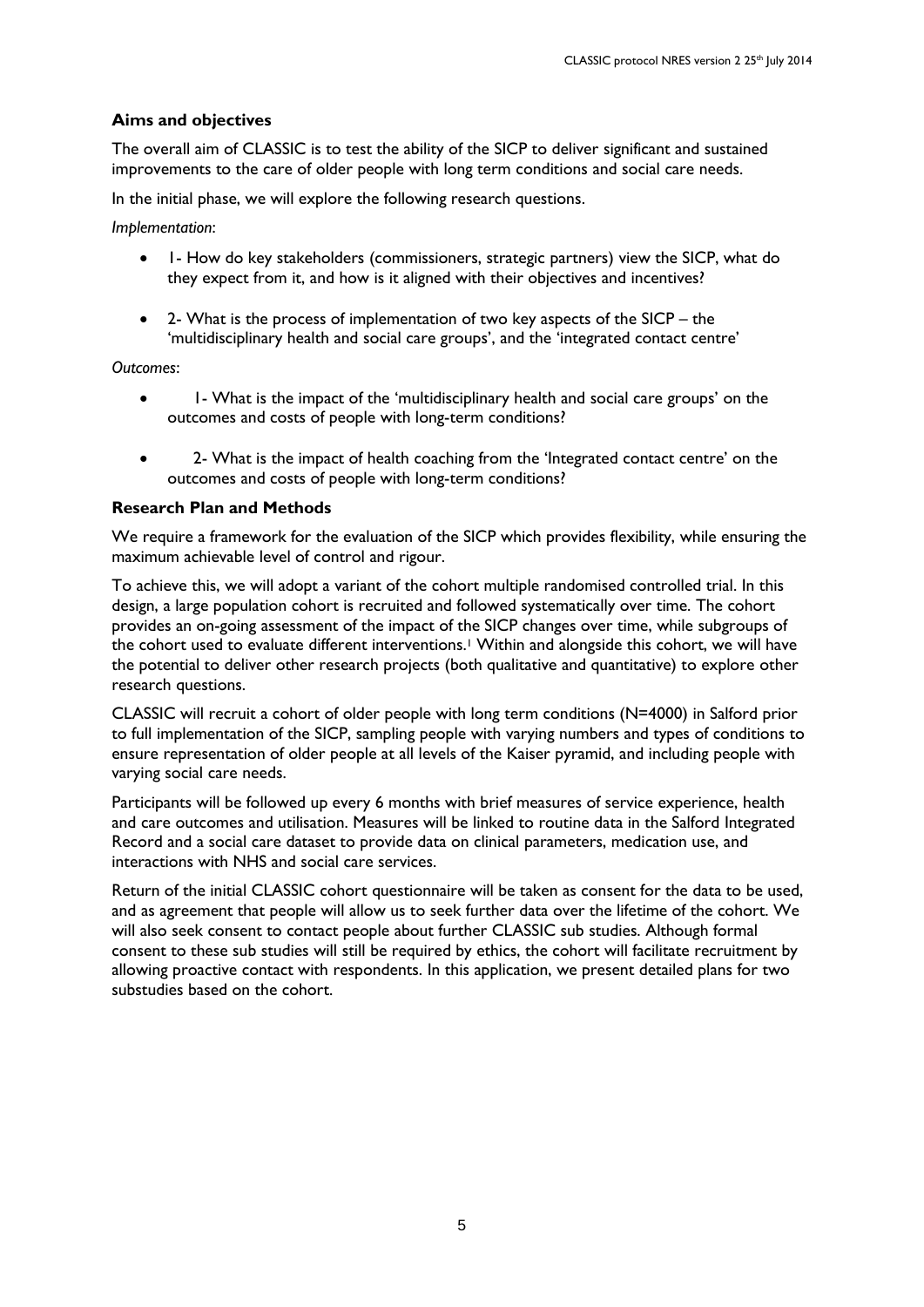## **Aims and objectives**

The overall aim of CLASSIC is to test the ability of the SICP to deliver significant and sustained improvements to the care of older people with long term conditions and social care needs.

In the initial phase, we will explore the following research questions.

*Implementation*:

- 1- How do key stakeholders (commissioners, strategic partners) view the SICP, what do they expect from it, and how is it aligned with their objectives and incentives?
- 2- What is the process of implementation of two key aspects of the SICP the 'multidisciplinary health and social care groups', and the 'integrated contact centre'

*Outcomes*:

- I What is the impact of the 'multidisciplinary health and social care groups' on the outcomes and costs of people with long-term conditions?
- 2- What is the impact of health coaching from the 'Integrated contact centre' on the outcomes and costs of people with long-term conditions?

## **Research Plan and Methods**

We require a framework for the evaluation of the SICP which provides flexibility, while ensuring the maximum achievable level of control and rigour.

To achieve this, we will adopt a variant of the cohort multiple randomised controlled trial. In this design, a large population cohort is recruited and followed systematically over time. The cohort provides an on-going assessment of the impact of the SICP changes over time, while subgroups of the cohort used to evaluate different interventions.<sup>1</sup> Within and alongside this cohort, we will have the potential to deliver other research projects (both qualitative and quantitative) to explore other research questions.

CLASSIC will recruit a cohort of older people with long term conditions (N=4000) in Salford prior to full implementation of the SICP, sampling people with varying numbers and types of conditions to ensure representation of older people at all levels of the Kaiser pyramid, and including people with varying social care needs.

Participants will be followed up every 6 months with brief measures of service experience, health and care outcomes and utilisation. Measures will be linked to routine data in the Salford Integrated Record and a social care dataset to provide data on clinical parameters, medication use, and interactions with NHS and social care services.

Return of the initial CLASSIC cohort questionnaire will be taken as consent for the data to be used, and as agreement that people will allow us to seek further data over the lifetime of the cohort. We will also seek consent to contact people about further CLASSIC sub studies. Although formal consent to these sub studies will still be required by ethics, the cohort will facilitate recruitment by allowing proactive contact with respondents. In this application, we present detailed plans for two substudies based on the cohort.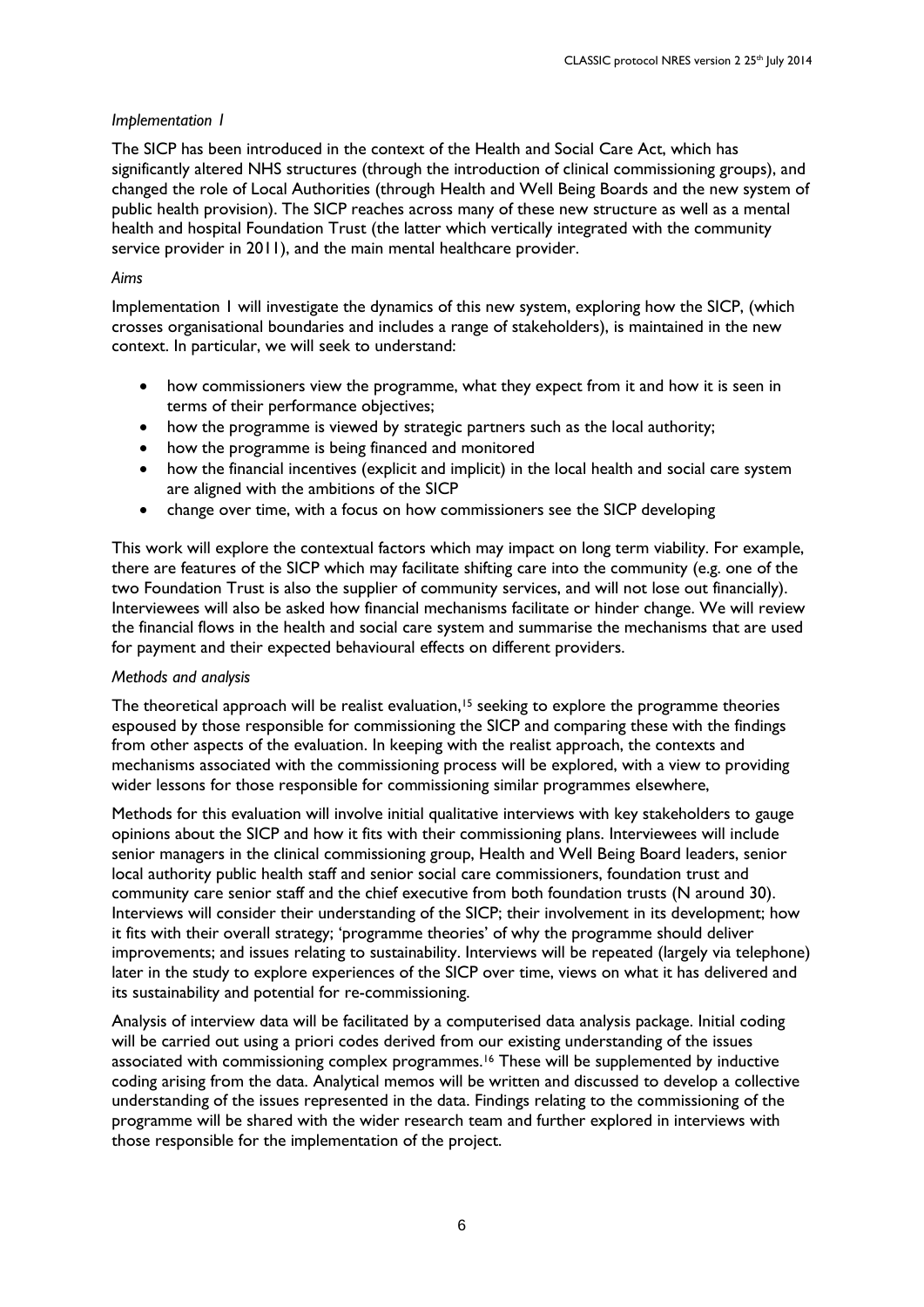## *Implementation 1*

The SICP has been introduced in the context of the Health and Social Care Act, which has significantly altered NHS structures (through the introduction of clinical commissioning groups), and changed the role of Local Authorities (through Health and Well Being Boards and the new system of public health provision). The SICP reaches across many of these new structure as well as a mental health and hospital Foundation Trust (the latter which vertically integrated with the community service provider in 2011), and the main mental healthcare provider.

### *Aims*

Implementation 1 will investigate the dynamics of this new system, exploring how the SICP, (which crosses organisational boundaries and includes a range of stakeholders), is maintained in the new context. In particular, we will seek to understand:

- how commissioners view the programme, what they expect from it and how it is seen in terms of their performance objectives;
- how the programme is viewed by strategic partners such as the local authority;
- how the programme is being financed and monitored
- how the financial incentives (explicit and implicit) in the local health and social care system are aligned with the ambitions of the SICP
- change over time, with a focus on how commissioners see the SICP developing

This work will explore the contextual factors which may impact on long term viability. For example, there are features of the SICP which may facilitate shifting care into the community (e.g. one of the two Foundation Trust is also the supplier of community services, and will not lose out financially). Interviewees will also be asked how financial mechanisms facilitate or hinder change. We will review the financial flows in the health and social care system and summarise the mechanisms that are used for payment and their expected behavioural effects on different providers.

### *Methods and analysis*

The theoretical approach will be realist evaluation,<sup>15</sup> seeking to explore the programme theories espoused by those responsible for commissioning the SICP and comparing these with the findings from other aspects of the evaluation. In keeping with the realist approach, the contexts and mechanisms associated with the commissioning process will be explored, with a view to providing wider lessons for those responsible for commissioning similar programmes elsewhere,

Methods for this evaluation will involve initial qualitative interviews with key stakeholders to gauge opinions about the SICP and how it fits with their commissioning plans. Interviewees will include senior managers in the clinical commissioning group, Health and Well Being Board leaders, senior local authority public health staff and senior social care commissioners, foundation trust and community care senior staff and the chief executive from both foundation trusts (N around 30). Interviews will consider their understanding of the SICP; their involvement in its development; how it fits with their overall strategy; 'programme theories' of why the programme should deliver improvements; and issues relating to sustainability. Interviews will be repeated (largely via telephone) later in the study to explore experiences of the SICP over time, views on what it has delivered and its sustainability and potential for re-commissioning.

Analysis of interview data will be facilitated by a computerised data analysis package. Initial coding will be carried out using a priori codes derived from our existing understanding of the issues associated with commissioning complex programmes.<sup>16</sup> These will be supplemented by inductive coding arising from the data. Analytical memos will be written and discussed to develop a collective understanding of the issues represented in the data. Findings relating to the commissioning of the programme will be shared with the wider research team and further explored in interviews with those responsible for the implementation of the project.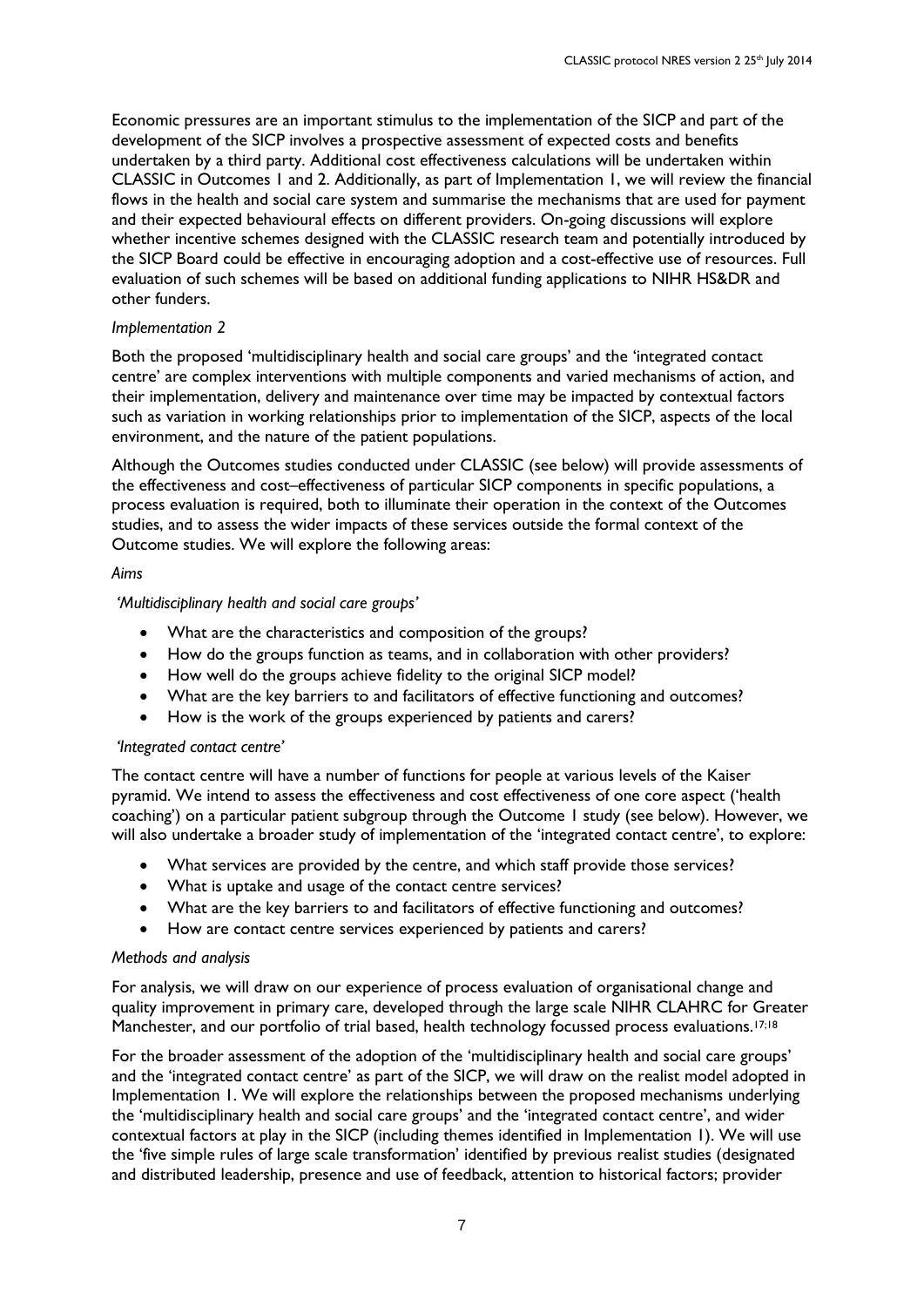Economic pressures are an important stimulus to the implementation of the SICP and part of the development of the SICP involves a prospective assessment of expected costs and benefits undertaken by a third party. Additional cost effectiveness calculations will be undertaken within CLASSIC in Outcomes 1 and 2. Additionally, as part of Implementation 1, we will review the financial flows in the health and social care system and summarise the mechanisms that are used for payment and their expected behavioural effects on different providers. On-going discussions will explore whether incentive schemes designed with the CLASSIC research team and potentially introduced by the SICP Board could be effective in encouraging adoption and a cost-effective use of resources. Full evaluation of such schemes will be based on additional funding applications to NIHR HS&DR and other funders.

## *Implementation 2*

Both the proposed 'multidisciplinary health and social care groups' and the 'integrated contact centre' are complex interventions with multiple components and varied mechanisms of action, and their implementation, delivery and maintenance over time may be impacted by contextual factors such as variation in working relationships prior to implementation of the SICP, aspects of the local environment, and the nature of the patient populations.

Although the Outcomes studies conducted under CLASSIC (see below) will provide assessments of the effectiveness and cost–effectiveness of particular SICP components in specific populations, a process evaluation is required, both to illuminate their operation in the context of the Outcomes studies, and to assess the wider impacts of these services outside the formal context of the Outcome studies. We will explore the following areas:

## *Aims*

## *'Multidisciplinary health and social care groups'*

- What are the characteristics and composition of the groups?
- How do the groups function as teams, and in collaboration with other providers?
- How well do the groups achieve fidelity to the original SICP model?
- What are the key barriers to and facilitators of effective functioning and outcomes?
- How is the work of the groups experienced by patients and carers?

### *'Integrated contact centre'*

The contact centre will have a number of functions for people at various levels of the Kaiser pyramid. We intend to assess the effectiveness and cost effectiveness of one core aspect ('health coaching') on a particular patient subgroup through the Outcome 1 study (see below). However, we will also undertake a broader study of implementation of the 'integrated contact centre', to explore:

- What services are provided by the centre, and which staff provide those services?
- What is uptake and usage of the contact centre services?
- What are the key barriers to and facilitators of effective functioning and outcomes?
- How are contact centre services experienced by patients and carers?

### *Methods and analysis*

For analysis, we will draw on our experience of process evaluation of organisational change and quality improvement in primary care, developed through the large scale NIHR CLAHRC for Greater Manchester, and our portfolio of trial based, health technology focussed process evaluations.<sup>17;18</sup>

For the broader assessment of the adoption of the 'multidisciplinary health and social care groups' and the 'integrated contact centre' as part of the SICP, we will draw on the realist model adopted in Implementation 1. We will explore the relationships between the proposed mechanisms underlying the 'multidisciplinary health and social care groups' and the 'integrated contact centre', and wider contextual factors at play in the SICP (including themes identified in Implementation 1). We will use the 'five simple rules of large scale transformation' identified by previous realist studies (designated and distributed leadership, presence and use of feedback, attention to historical factors; provider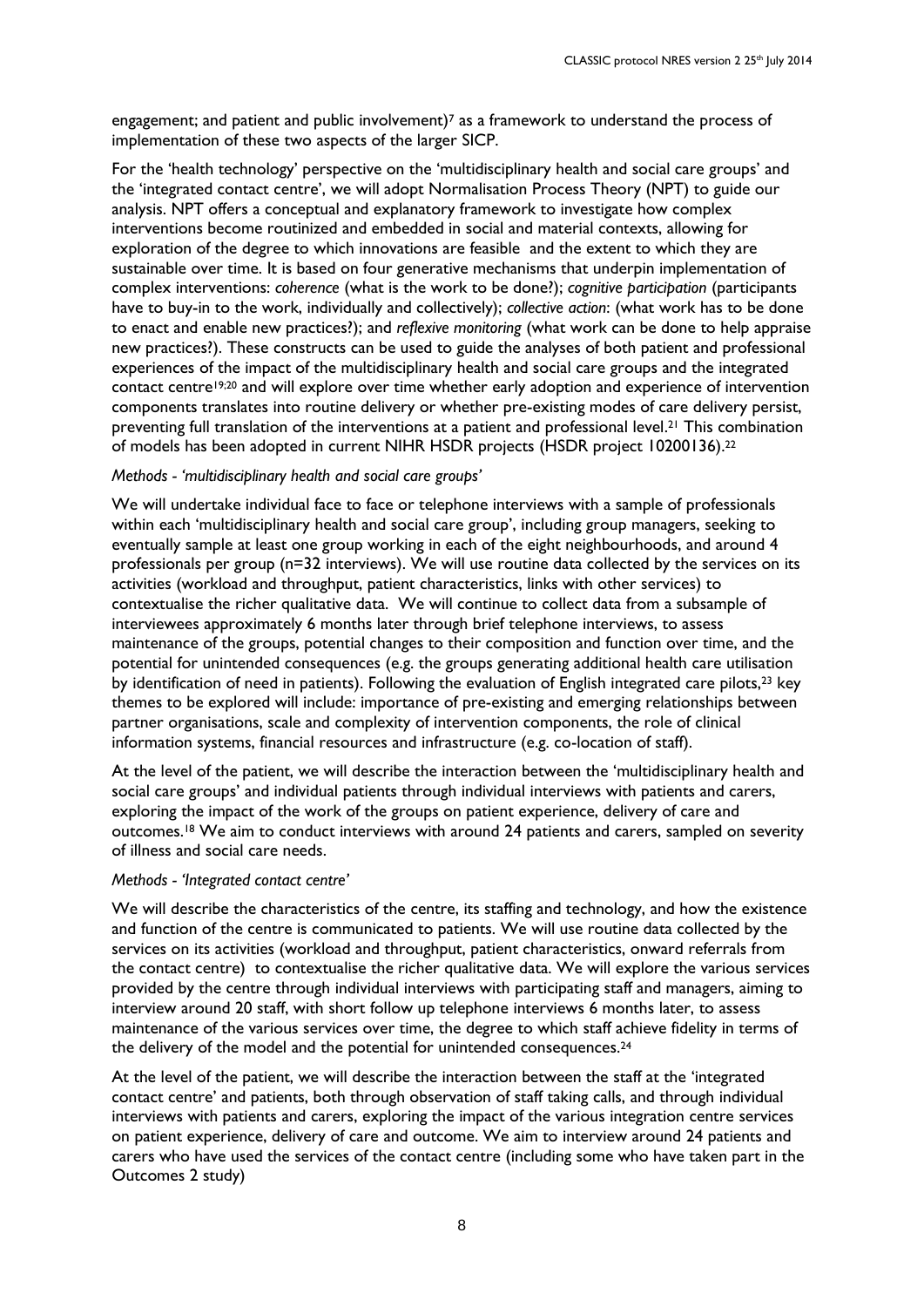engagement; and patient and public involvement)<sup>7</sup> as a framework to understand the process of implementation of these two aspects of the larger SICP.

For the 'health technology' perspective on the 'multidisciplinary health and social care groups' and the 'integrated contact centre', we will adopt Normalisation Process Theory (NPT) to guide our analysis. NPT offers a conceptual and explanatory framework to investigate how complex interventions become routinized and embedded in social and material contexts, allowing for exploration of the degree to which innovations are feasible and the extent to which they are sustainable over time. It is based on four generative mechanisms that underpin implementation of complex interventions: *coherence* (what is the work to be done?); *cognitive participation* (participants have to buy-in to the work, individually and collectively); *collective action*: (what work has to be done to enact and enable new practices?); and *reflexive monitoring* (what work can be done to help appraise new practices?). These constructs can be used to guide the analyses of both patient and professional experiences of the impact of the multidisciplinary health and social care groups and the integrated contact centre19;20 and will explore over time whether early adoption and experience of intervention components translates into routine delivery or whether pre-existing modes of care delivery persist, preventing full translation of the interventions at a patient and professional level.<sup>21</sup> This combination of models has been adopted in current NIHR HSDR projects (HSDR project 10200136). 22

#### *Methods - 'multidisciplinary health and social care groups'*

We will undertake individual face to face or telephone interviews with a sample of professionals within each 'multidisciplinary health and social care group', including group managers, seeking to eventually sample at least one group working in each of the eight neighbourhoods, and around 4 professionals per group (n=32 interviews). We will use routine data collected by the services on its activities (workload and throughput, patient characteristics, links with other services) to contextualise the richer qualitative data. We will continue to collect data from a subsample of interviewees approximately 6 months later through brief telephone interviews, to assess maintenance of the groups, potential changes to their composition and function over time, and the potential for unintended consequences (e.g. the groups generating additional health care utilisation by identification of need in patients). Following the evaluation of English integrated care pilots,<sup>23</sup> key themes to be explored will include: importance of pre-existing and emerging relationships between partner organisations, scale and complexity of intervention components, the role of clinical information systems, financial resources and infrastructure (e.g. co-location of staff).

At the level of the patient, we will describe the interaction between the 'multidisciplinary health and social care groups' and individual patients through individual interviews with patients and carers, exploring the impact of the work of the groups on patient experience, delivery of care and outcomes.<sup>18</sup> We aim to conduct interviews with around 24 patients and carers, sampled on severity of illness and social care needs.

#### *Methods - 'Integrated contact centre'*

We will describe the characteristics of the centre, its staffing and technology, and how the existence and function of the centre is communicated to patients. We will use routine data collected by the services on its activities (workload and throughput, patient characteristics, onward referrals from the contact centre) to contextualise the richer qualitative data. We will explore the various services provided by the centre through individual interviews with participating staff and managers, aiming to interview around 20 staff, with short follow up telephone interviews 6 months later, to assess maintenance of the various services over time, the degree to which staff achieve fidelity in terms of the delivery of the model and the potential for unintended consequences.<sup>24</sup>

At the level of the patient, we will describe the interaction between the staff at the 'integrated contact centre' and patients, both through observation of staff taking calls, and through individual interviews with patients and carers, exploring the impact of the various integration centre services on patient experience, delivery of care and outcome. We aim to interview around 24 patients and carers who have used the services of the contact centre (including some who have taken part in the Outcomes 2 study)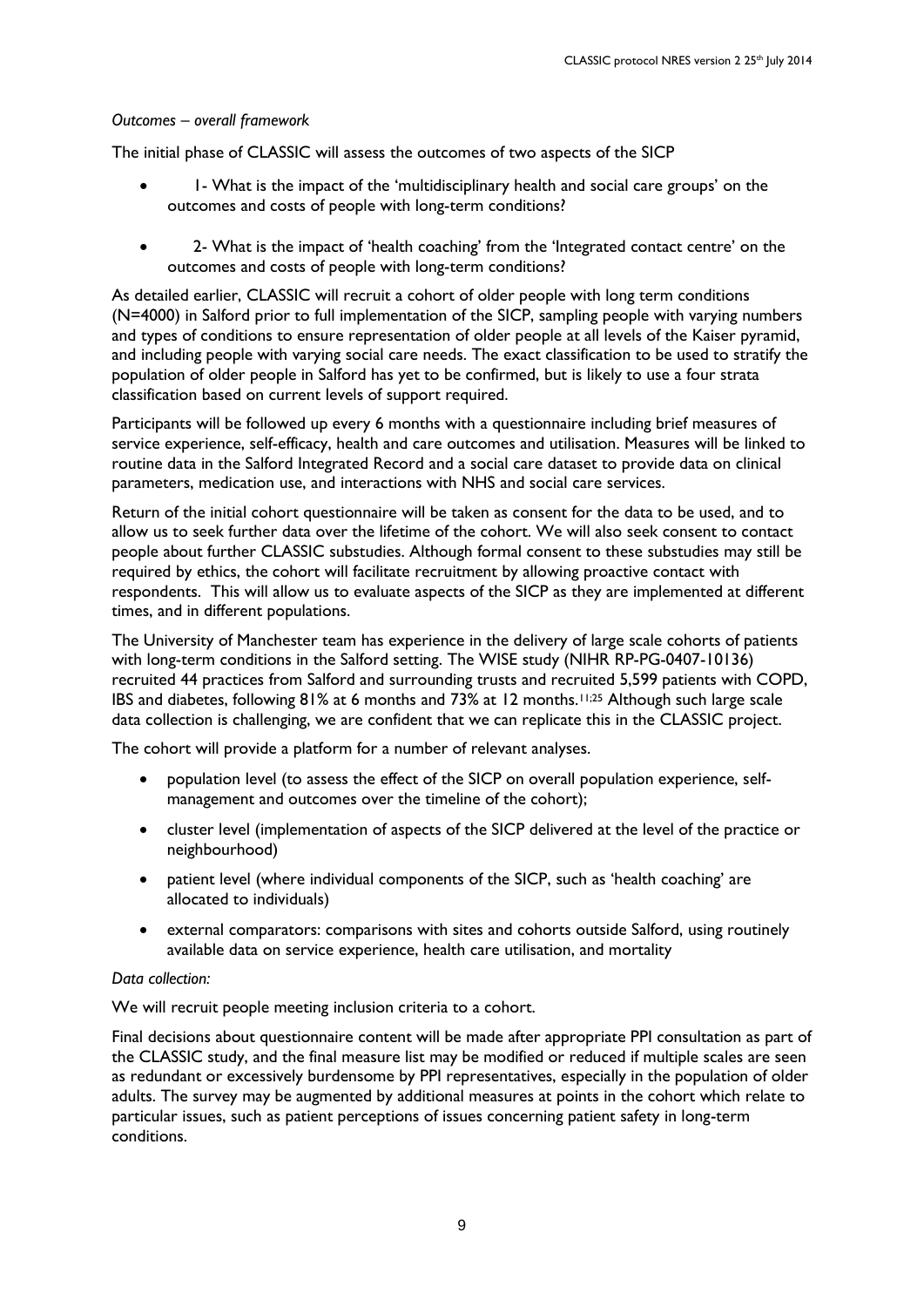## *Outcomes – overall framework*

The initial phase of CLASSIC will assess the outcomes of two aspects of the SICP

- I What is the impact of the 'multidisciplinary health and social care groups' on the outcomes and costs of people with long-term conditions?
- 2- What is the impact of 'health coaching' from the 'Integrated contact centre' on the outcomes and costs of people with long-term conditions?

As detailed earlier, CLASSIC will recruit a cohort of older people with long term conditions (N=4000) in Salford prior to full implementation of the SICP, sampling people with varying numbers and types of conditions to ensure representation of older people at all levels of the Kaiser pyramid, and including people with varying social care needs. The exact classification to be used to stratify the population of older people in Salford has yet to be confirmed, but is likely to use a four strata classification based on current levels of support required.

Participants will be followed up every 6 months with a questionnaire including brief measures of service experience, self-efficacy, health and care outcomes and utilisation. Measures will be linked to routine data in the Salford Integrated Record and a social care dataset to provide data on clinical parameters, medication use, and interactions with NHS and social care services.

Return of the initial cohort questionnaire will be taken as consent for the data to be used, and to allow us to seek further data over the lifetime of the cohort. We will also seek consent to contact people about further CLASSIC substudies. Although formal consent to these substudies may still be required by ethics, the cohort will facilitate recruitment by allowing proactive contact with respondents. This will allow us to evaluate aspects of the SICP as they are implemented at different times, and in different populations.

The University of Manchester team has experience in the delivery of large scale cohorts of patients with long-term conditions in the Salford setting. The WISE study (NIHR RP-PG-0407-10136) recruited 44 practices from Salford and surrounding trusts and recruited 5,599 patients with COPD, IBS and diabetes, following 81% at 6 months and 73% at 12 months.11;25 Although such large scale data collection is challenging, we are confident that we can replicate this in the CLASSIC project.

The cohort will provide a platform for a number of relevant analyses.

- population level (to assess the effect of the SICP on overall population experience, selfmanagement and outcomes over the timeline of the cohort);
- cluster level (implementation of aspects of the SICP delivered at the level of the practice or neighbourhood)
- patient level (where individual components of the SICP, such as 'health coaching' are allocated to individuals)
- external comparators: comparisons with sites and cohorts outside Salford, using routinely available data on service experience, health care utilisation, and mortality

### *Data collection:*

We will recruit people meeting inclusion criteria to a cohort.

Final decisions about questionnaire content will be made after appropriate PPI consultation as part of the CLASSIC study, and the final measure list may be modified or reduced if multiple scales are seen as redundant or excessively burdensome by PPI representatives, especially in the population of older adults. The survey may be augmented by additional measures at points in the cohort which relate to particular issues, such as patient perceptions of issues concerning patient safety in long-term conditions.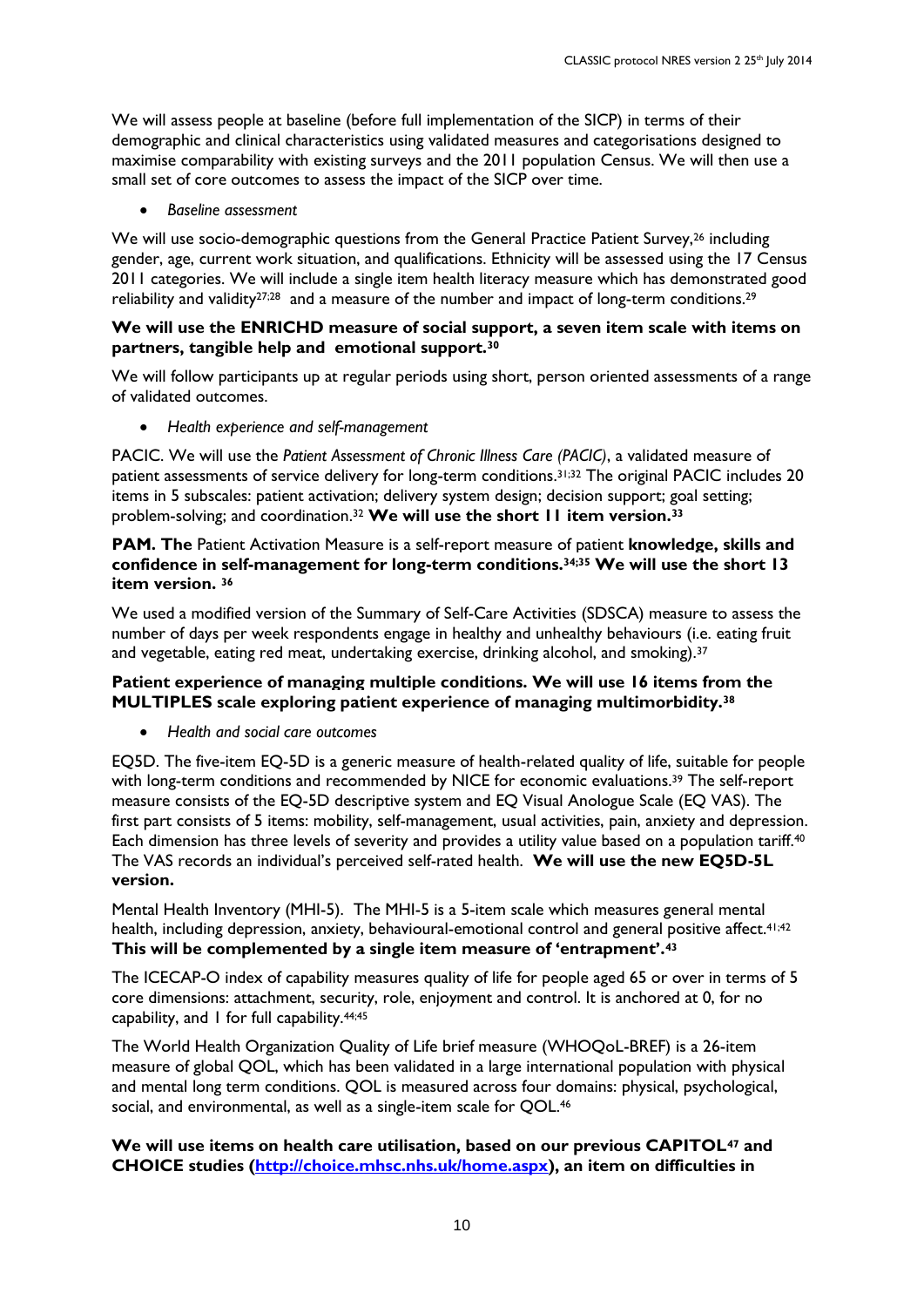We will assess people at baseline (before full implementation of the SICP) in terms of their demographic and clinical characteristics using validated measures and categorisations designed to maximise comparability with existing surveys and the 2011 population Census. We will then use a small set of core outcomes to assess the impact of the SICP over time.

*Baseline assessment*

We will use socio-demographic questions from the General Practice Patient Survey,<sup>26</sup> including gender, age, current work situation, and qualifications. Ethnicity will be assessed using the 17 Census 2011 categories. We will include a single item health literacy measure which has demonstrated good reliability and validity<sup>27;28</sup> and a measure of the number and impact of long-term conditions.<sup>29</sup>

### **We will use the ENRICHD measure of social support, a seven item scale with items on partners, tangible help and emotional support.<sup>30</sup>**

We will follow participants up at regular periods using short, person oriented assessments of a range of validated outcomes.

*Health experience and self-management*

PACIC. We will use the *Patient Assessment of Chronic Illness Care (PACIC)*, a validated measure of patient assessments of service delivery for long-term conditions.31;32 The original PACIC includes 20 items in 5 subscales: patient activation; delivery system design; decision support; goal setting; problem-solving; and coordination.<sup>32</sup> **We will use the short 11 item version.<sup>33</sup>**

**PAM. The** Patient Activation Measure is a self-report measure of patient **knowledge, skills and confidence in self-management for long-term conditions.34;35 We will use the short 13 item version. <sup>36</sup>**

We used a modified version of the Summary of Self-Care Activities (SDSCA) measure to assess the number of days per week respondents engage in healthy and unhealthy behaviours (i.e. eating fruit and vegetable, eating red meat, undertaking exercise, drinking alcohol, and smoking).<sup>37</sup>

## **Patient experience of managing multiple conditions. We will use 16 items from the MULTIPLES scale exploring patient experience of managing multimorbidity.<sup>38</sup>**

*Health and social care outcomes*

EQ5D. The five-item EQ-5D is a generic measure of health-related quality of life, suitable for people with long-term conditions and recommended by NICE for economic evaluations.<sup>39</sup> The self-report measure consists of the EQ-5D descriptive system and EQ Visual Anologue Scale (EQ VAS). The first part consists of 5 items: mobility, self-management, usual activities, pain, anxiety and depression. Each dimension has three levels of severity and provides a utility value based on a population tariff.<sup>40</sup> The VAS records an individual's perceived self-rated health. **We will use the new EQ5D-5L version.** 

Mental Health Inventory (MHI-5). The MHI-5 is a 5-item scale which measures general mental health, including depression, anxiety, behavioural-emotional control and general positive affect.<sup>41;42</sup> **This will be complemented by a single item measure of 'entrapment'.<sup>43</sup>**

The ICECAP-O index of capability measures quality of life for people aged 65 or over in terms of 5 core dimensions: attachment, security, role, enjoyment and control. It is anchored at 0, for no capability, and 1 for full capability.44;45

The World Health Organization Quality of Life brief measure (WHOQoL-BREF) is a 26-item measure of global QOL, which has been validated in a large international population with physical and mental long term conditions. QOL is measured across four domains: physical, psychological, social, and environmental, as well as a single-item scale for QOL.<sup>46</sup>

## **We will use items on health care utilisation, based on our previous CAPITOL<sup>47</sup> and CHOICE studies [\(http://choice.mhsc.nhs.uk/home.aspx\)](http://choice.mhsc.nhs.uk/home.aspx), an item on difficulties in**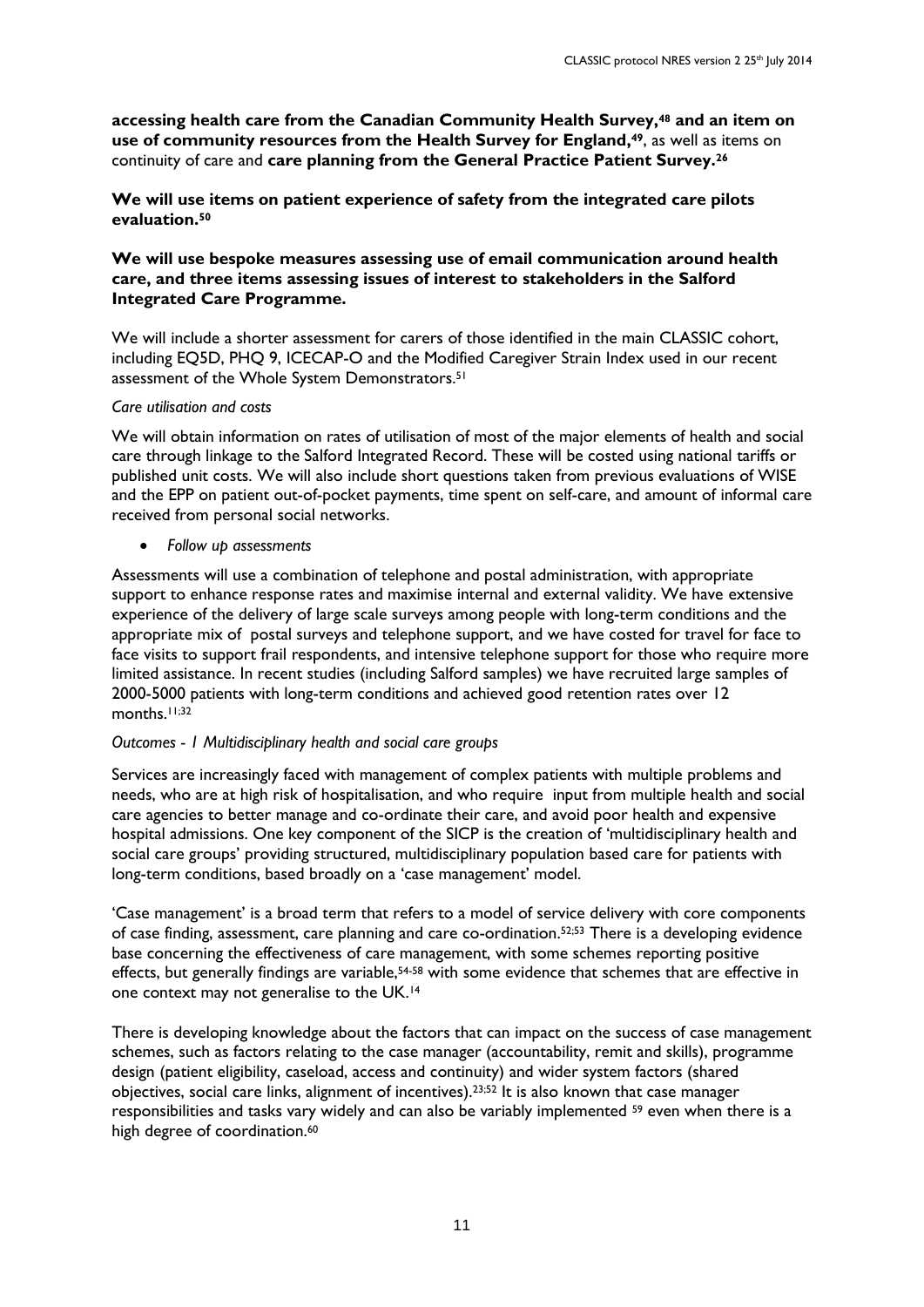**accessing health care from the Canadian Community Health Survey, <sup>48</sup> and an item on use of community resources from the Health Survey for England, <sup>49</sup>**, as well as items on continuity of care and **care planning from the General Practice Patient Survey.<sup>26</sup>**

**We will use items on patient experience of safety from the integrated care pilots evaluation.<sup>50</sup>**

## **We will use bespoke measures assessing use of email communication around health care, and three items assessing issues of interest to stakeholders in the Salford Integrated Care Programme.**

We will include a shorter assessment for carers of those identified in the main CLASSIC cohort, including EQ5D, PHQ 9, ICECAP-O and the Modified Caregiver Strain Index used in our recent assessment of the Whole System Demonstrators.<sup>51</sup>

#### *Care utilisation and costs*

We will obtain information on rates of utilisation of most of the major elements of health and social care through linkage to the Salford Integrated Record. These will be costed using national tariffs or published unit costs. We will also include short questions taken from previous evaluations of WISE and the EPP on patient out-of-pocket payments, time spent on self-care, and amount of informal care received from personal social networks.

*Follow up assessments*

Assessments will use a combination of telephone and postal administration, with appropriate support to enhance response rates and maximise internal and external validity. We have extensive experience of the delivery of large scale surveys among people with long-term conditions and the appropriate mix of postal surveys and telephone support, and we have costed for travel for face to face visits to support frail respondents, and intensive telephone support for those who require more limited assistance. In recent studies (including Salford samples) we have recruited large samples of 2000-5000 patients with long-term conditions and achieved good retention rates over 12 months.<sup>11;32</sup>

### *Outcomes - 1 Multidisciplinary health and social care groups*

Services are increasingly faced with management of complex patients with multiple problems and needs, who are at high risk of hospitalisation, and who require input from multiple health and social care agencies to better manage and co-ordinate their care, and avoid poor health and expensive hospital admissions. One key component of the SICP is the creation of 'multidisciplinary health and social care groups' providing structured, multidisciplinary population based care for patients with long-term conditions, based broadly on a 'case management' model.

'Case management' is a broad term that refers to a model of service delivery with core components of case finding, assessment, care planning and care co-ordination.52;53 There is a developing evidence base concerning the effectiveness of care management, with some schemes reporting positive effects, but generally findings are variable,<sup>54-58</sup> with some evidence that schemes that are effective in one context may not generalise to the UK.<sup>14</sup>

There is developing knowledge about the factors that can impact on the success of case management schemes, such as factors relating to the case manager (accountability, remit and skills), programme design (patient eligibility, caseload, access and continuity) and wider system factors (shared objectives, social care links, alignment of incentives).23;52 It is also known that case manager responsibilities and tasks vary widely and can also be variably implemented <sup>59</sup> even when there is a high degree of coordination.<sup>60</sup>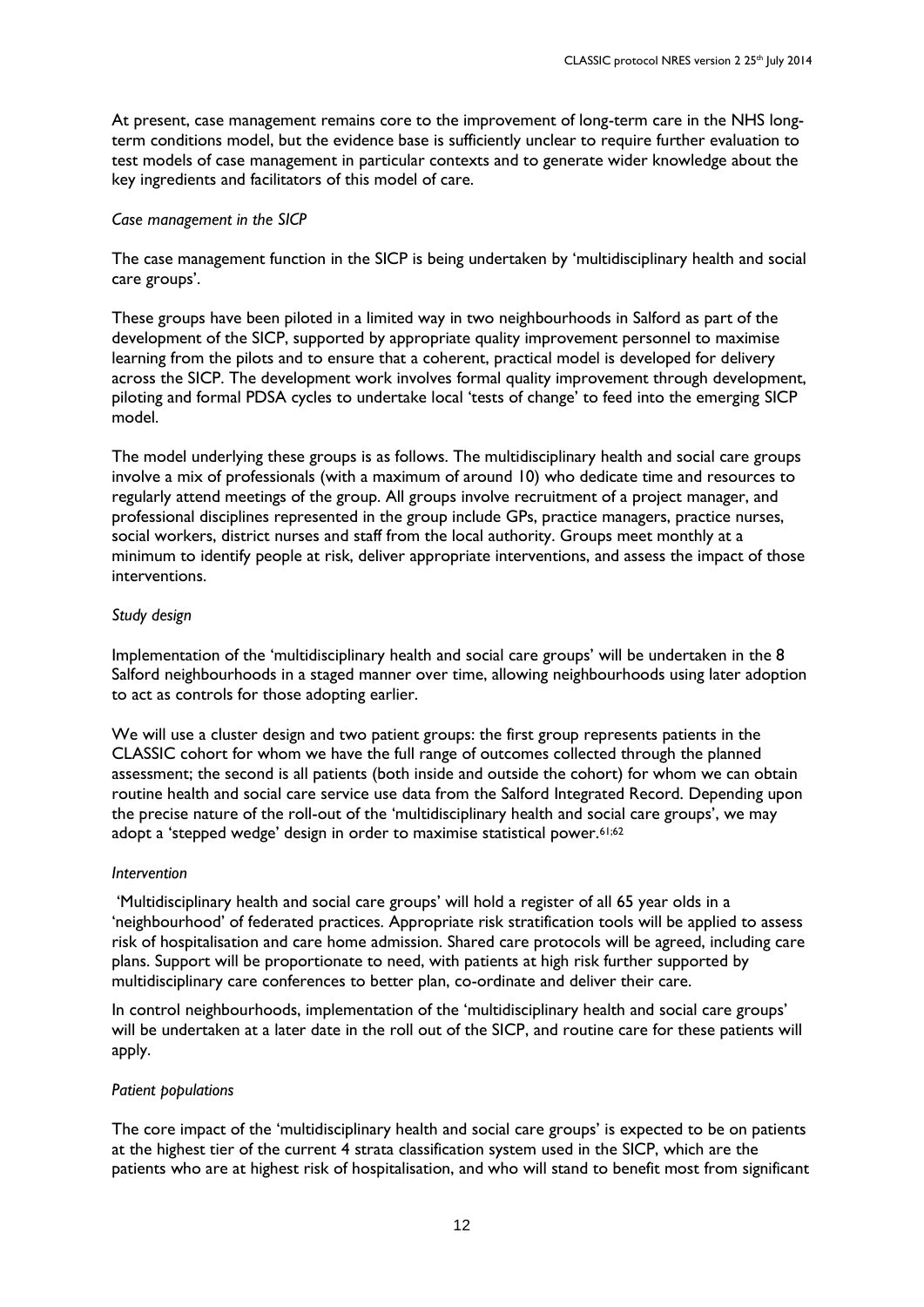At present, case management remains core to the improvement of long-term care in the NHS longterm conditions model, but the evidence base is sufficiently unclear to require further evaluation to test models of case management in particular contexts and to generate wider knowledge about the key ingredients and facilitators of this model of care.

#### *Case management in the SICP*

The case management function in the SICP is being undertaken by 'multidisciplinary health and social care groups'.

These groups have been piloted in a limited way in two neighbourhoods in Salford as part of the development of the SICP, supported by appropriate quality improvement personnel to maximise learning from the pilots and to ensure that a coherent, practical model is developed for delivery across the SICP. The development work involves formal quality improvement through development, piloting and formal PDSA cycles to undertake local 'tests of change' to feed into the emerging SICP model.

The model underlying these groups is as follows. The multidisciplinary health and social care groups involve a mix of professionals (with a maximum of around 10) who dedicate time and resources to regularly attend meetings of the group. All groups involve recruitment of a project manager, and professional disciplines represented in the group include GPs, practice managers, practice nurses, social workers, district nurses and staff from the local authority. Groups meet monthly at a minimum to identify people at risk, deliver appropriate interventions, and assess the impact of those interventions.

#### *Study design*

Implementation of the 'multidisciplinary health and social care groups' will be undertaken in the 8 Salford neighbourhoods in a staged manner over time, allowing neighbourhoods using later adoption to act as controls for those adopting earlier.

We will use a cluster design and two patient groups: the first group represents patients in the CLASSIC cohort for whom we have the full range of outcomes collected through the planned assessment; the second is all patients (both inside and outside the cohort) for whom we can obtain routine health and social care service use data from the Salford Integrated Record. Depending upon the precise nature of the roll-out of the 'multidisciplinary health and social care groups', we may adopt a 'stepped wedge' design in order to maximise statistical power.<sup>61;62</sup>

#### *Intervention*

'Multidisciplinary health and social care groups' will hold a register of all 65 year olds in a 'neighbourhood' of federated practices. Appropriate risk stratification tools will be applied to assess risk of hospitalisation and care home admission. Shared care protocols will be agreed, including care plans. Support will be proportionate to need, with patients at high risk further supported by multidisciplinary care conferences to better plan, co-ordinate and deliver their care.

In control neighbourhoods, implementation of the 'multidisciplinary health and social care groups' will be undertaken at a later date in the roll out of the SICP, and routine care for these patients will apply.

#### *Patient populations*

The core impact of the 'multidisciplinary health and social care groups' is expected to be on patients at the highest tier of the current 4 strata classification system used in the SICP, which are the patients who are at highest risk of hospitalisation, and who will stand to benefit most from significant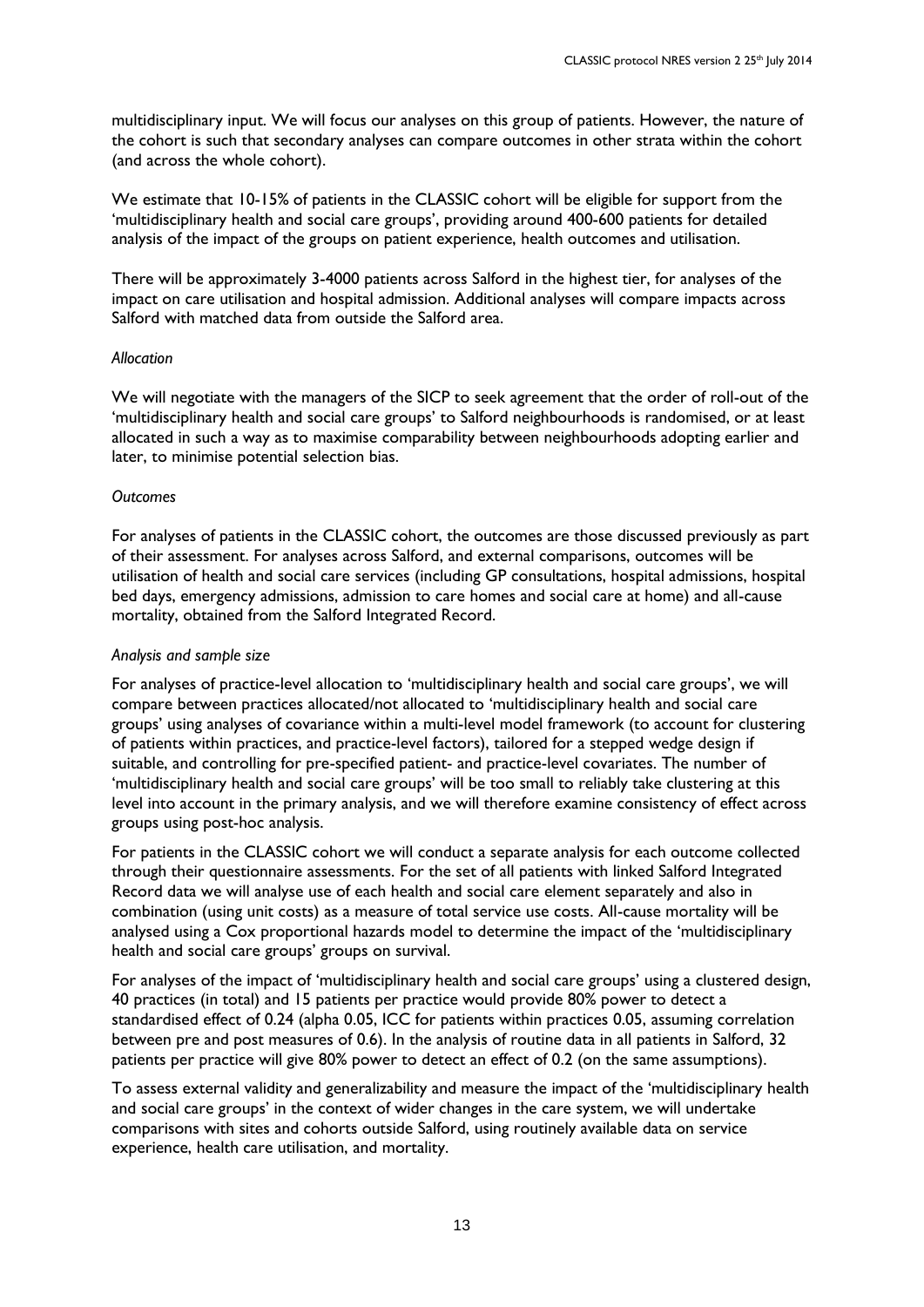multidisciplinary input. We will focus our analyses on this group of patients. However, the nature of the cohort is such that secondary analyses can compare outcomes in other strata within the cohort (and across the whole cohort).

We estimate that 10-15% of patients in the CLASSIC cohort will be eligible for support from the 'multidisciplinary health and social care groups', providing around 400-600 patients for detailed analysis of the impact of the groups on patient experience, health outcomes and utilisation.

There will be approximately 3-4000 patients across Salford in the highest tier, for analyses of the impact on care utilisation and hospital admission. Additional analyses will compare impacts across Salford with matched data from outside the Salford area.

#### *Allocation*

We will negotiate with the managers of the SICP to seek agreement that the order of roll-out of the 'multidisciplinary health and social care groups' to Salford neighbourhoods is randomised, or at least allocated in such a way as to maximise comparability between neighbourhoods adopting earlier and later, to minimise potential selection bias.

#### *Outcomes*

For analyses of patients in the CLASSIC cohort, the outcomes are those discussed previously as part of their assessment. For analyses across Salford, and external comparisons, outcomes will be utilisation of health and social care services (including GP consultations, hospital admissions, hospital bed days, emergency admissions, admission to care homes and social care at home) and all-cause mortality, obtained from the Salford Integrated Record.

#### *Analysis and sample size*

For analyses of practice-level allocation to 'multidisciplinary health and social care groups', we will compare between practices allocated/not allocated to 'multidisciplinary health and social care groups' using analyses of covariance within a multi-level model framework (to account for clustering of patients within practices, and practice-level factors), tailored for a stepped wedge design if suitable, and controlling for pre-specified patient- and practice-level covariates. The number of 'multidisciplinary health and social care groups' will be too small to reliably take clustering at this level into account in the primary analysis, and we will therefore examine consistency of effect across groups using post-hoc analysis.

For patients in the CLASSIC cohort we will conduct a separate analysis for each outcome collected through their questionnaire assessments. For the set of all patients with linked Salford Integrated Record data we will analyse use of each health and social care element separately and also in combination (using unit costs) as a measure of total service use costs. All-cause mortality will be analysed using a Cox proportional hazards model to determine the impact of the 'multidisciplinary health and social care groups' groups on survival.

For analyses of the impact of 'multidisciplinary health and social care groups' using a clustered design, 40 practices (in total) and 15 patients per practice would provide 80% power to detect a standardised effect of 0.24 (alpha 0.05, ICC for patients within practices 0.05, assuming correlation between pre and post measures of 0.6). In the analysis of routine data in all patients in Salford, 32 patients per practice will give 80% power to detect an effect of 0.2 (on the same assumptions).

To assess external validity and generalizability and measure the impact of the 'multidisciplinary health and social care groups' in the context of wider changes in the care system, we will undertake comparisons with sites and cohorts outside Salford, using routinely available data on service experience, health care utilisation, and mortality.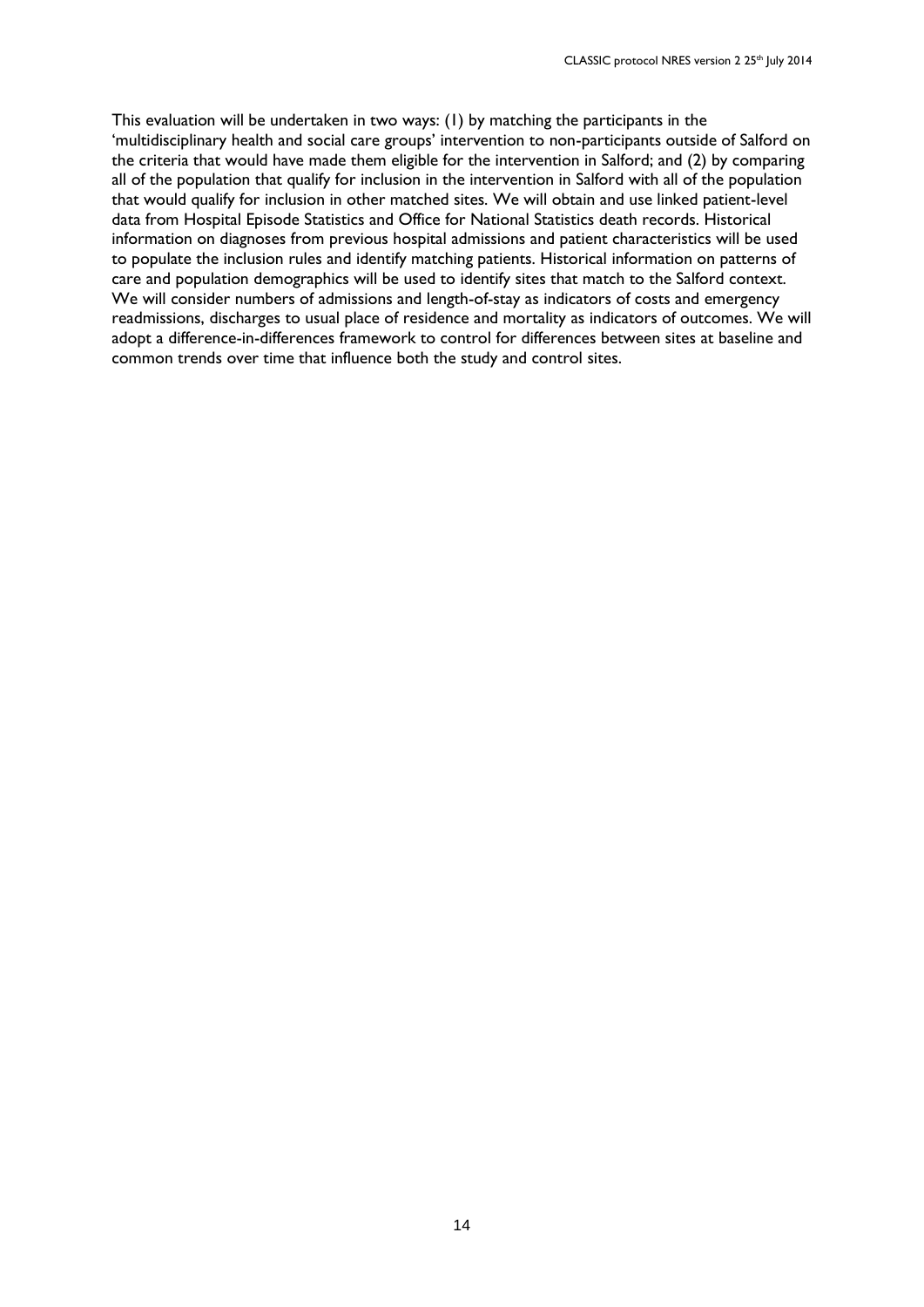This evaluation will be undertaken in two ways: (1) by matching the participants in the 'multidisciplinary health and social care groups' intervention to non-participants outside of Salford on the criteria that would have made them eligible for the intervention in Salford; and (2) by comparing all of the population that qualify for inclusion in the intervention in Salford with all of the population that would qualify for inclusion in other matched sites. We will obtain and use linked patient-level data from Hospital Episode Statistics and Office for National Statistics death records. Historical information on diagnoses from previous hospital admissions and patient characteristics will be used to populate the inclusion rules and identify matching patients. Historical information on patterns of care and population demographics will be used to identify sites that match to the Salford context. We will consider numbers of admissions and length-of-stay as indicators of costs and emergency readmissions, discharges to usual place of residence and mortality as indicators of outcomes. We will adopt a difference-in-differences framework to control for differences between sites at baseline and common trends over time that influence both the study and control sites.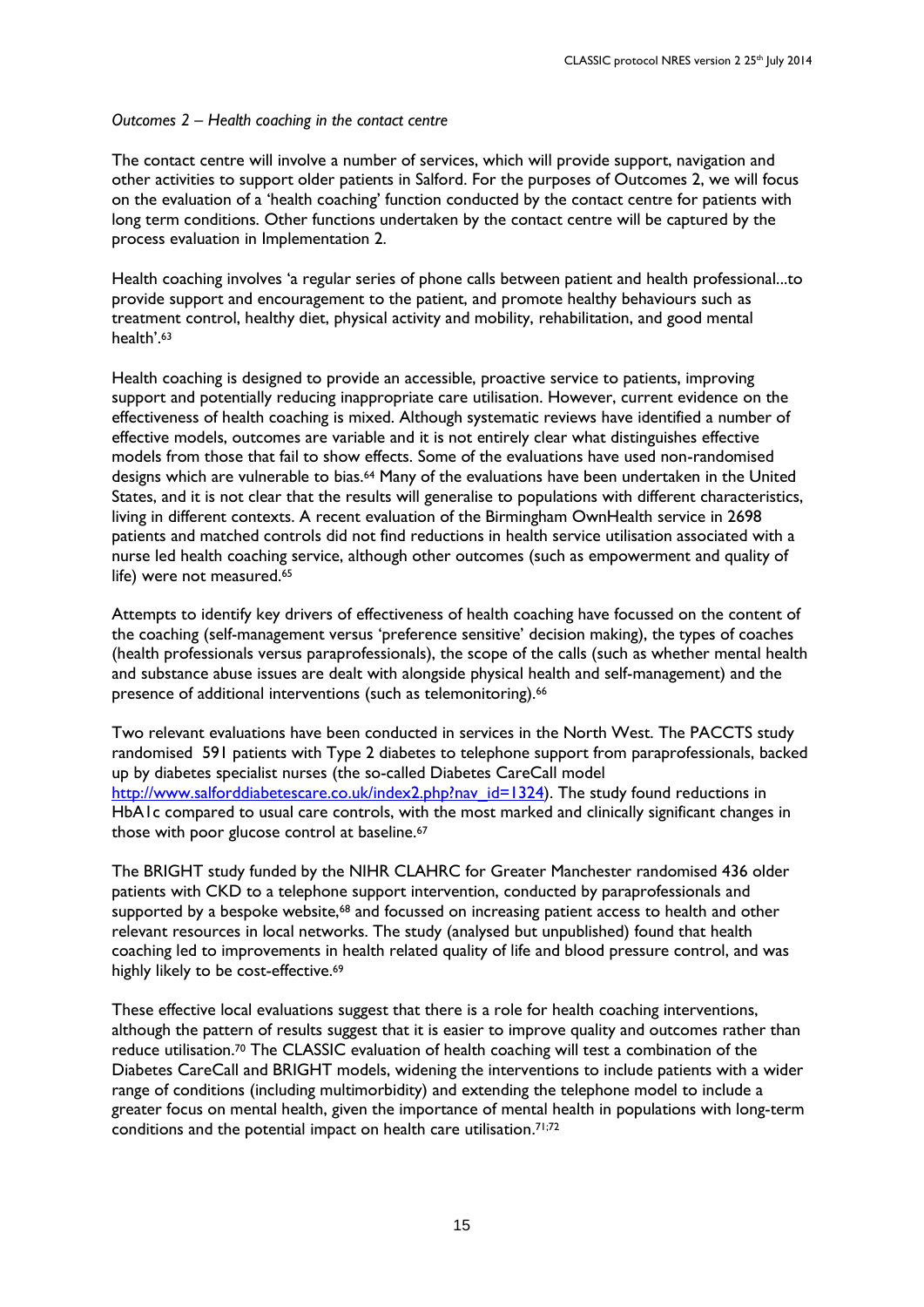#### *Outcomes 2 – Health coaching in the contact centre*

The contact centre will involve a number of services, which will provide support, navigation and other activities to support older patients in Salford. For the purposes of Outcomes 2, we will focus on the evaluation of a 'health coaching' function conducted by the contact centre for patients with long term conditions. Other functions undertaken by the contact centre will be captured by the process evaluation in Implementation 2.

Health coaching involves 'a regular series of phone calls between patient and health professional...to provide support and encouragement to the patient, and promote healthy behaviours such as treatment control, healthy diet, physical activity and mobility, rehabilitation, and good mental health'. 63

Health coaching is designed to provide an accessible, proactive service to patients, improving support and potentially reducing inappropriate care utilisation. However, current evidence on the effectiveness of health coaching is mixed. Although systematic reviews have identified a number of effective models, outcomes are variable and it is not entirely clear what distinguishes effective models from those that fail to show effects. Some of the evaluations have used non-randomised designs which are vulnerable to bias.<sup>64</sup> Many of the evaluations have been undertaken in the United States, and it is not clear that the results will generalise to populations with different characteristics, living in different contexts. A recent evaluation of the Birmingham OwnHealth service in 2698 patients and matched controls did not find reductions in health service utilisation associated with a nurse led health coaching service, although other outcomes (such as empowerment and quality of life) were not measured.<sup>65</sup>

Attempts to identify key drivers of effectiveness of health coaching have focussed on the content of the coaching (self-management versus 'preference sensitive' decision making), the types of coaches (health professionals versus paraprofessionals), the scope of the calls (such as whether mental health and substance abuse issues are dealt with alongside physical health and self-management) and the presence of additional interventions (such as telemonitoring).<sup>66</sup>

Two relevant evaluations have been conducted in services in the North West. The PACCTS study randomised 591 patients with Type 2 diabetes to telephone support from paraprofessionals, backed up by diabetes specialist nurses (the so-called Diabetes CareCall model [http://www.salforddiabetescare.co.uk/index2.php?nav\\_id=1324\)](http://www.salforddiabetescare.co.uk/index2.php?nav_id=1324). The study found reductions in HbA1c compared to usual care controls, with the most marked and clinically significant changes in those with poor glucose control at baseline.<sup>67</sup>

The BRIGHT study funded by the NIHR CLAHRC for Greater Manchester randomised 436 older patients with CKD to a telephone support intervention, conducted by paraprofessionals and supported by a bespoke website,<sup>68</sup> and focussed on increasing patient access to health and other relevant resources in local networks. The study (analysed but unpublished) found that health coaching led to improvements in health related quality of life and blood pressure control, and was highly likely to be cost-effective. 69

These effective local evaluations suggest that there is a role for health coaching interventions, although the pattern of results suggest that it is easier to improve quality and outcomes rather than reduce utilisation.<sup>70</sup> The CLASSIC evaluation of health coaching will test a combination of the Diabetes CareCall and BRIGHT models, widening the interventions to include patients with a wider range of conditions (including multimorbidity) and extending the telephone model to include a greater focus on mental health, given the importance of mental health in populations with long-term conditions and the potential impact on health care utilisation. 71;72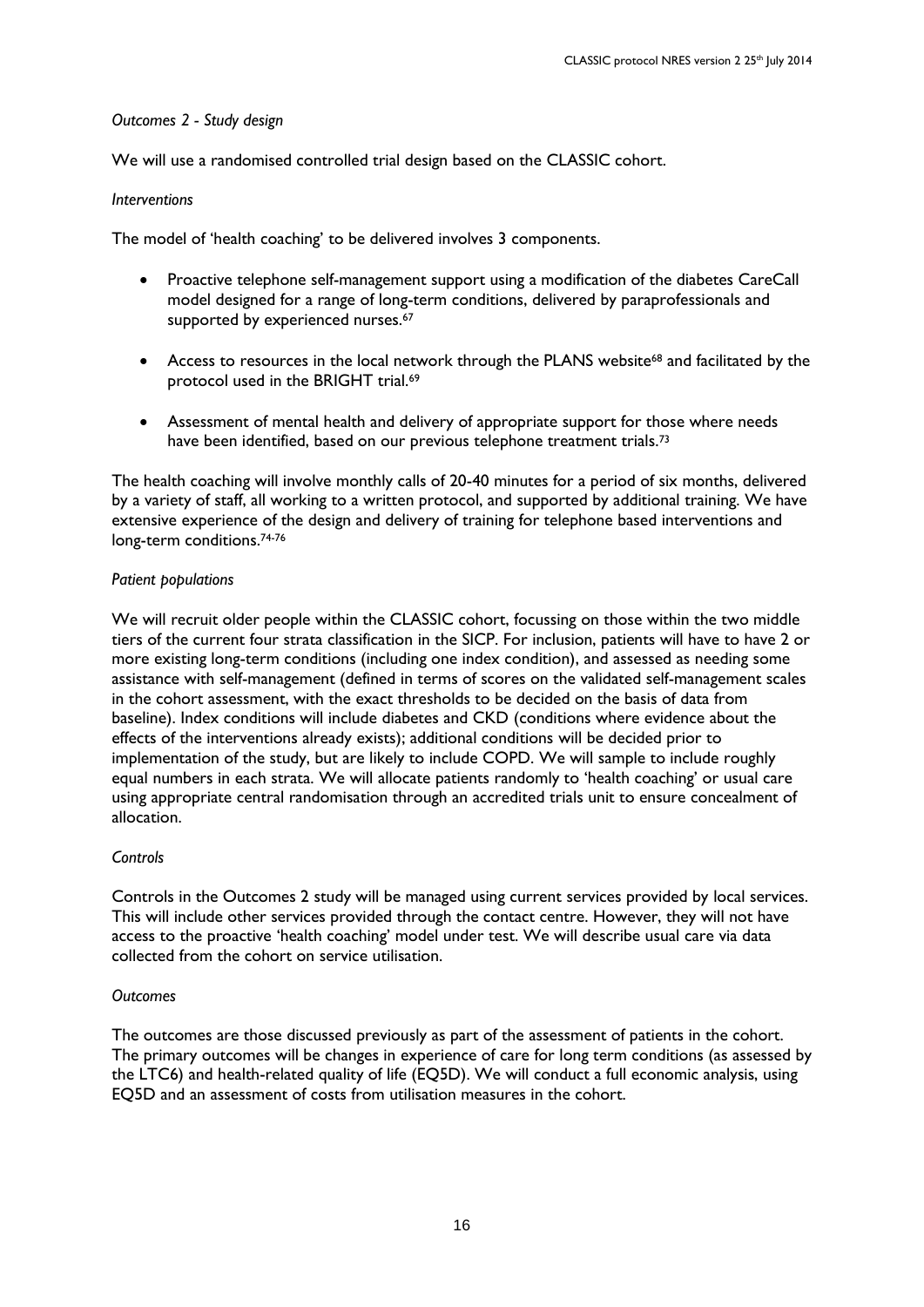### *Outcomes 2 - Study design*

We will use a randomised controlled trial design based on the CLASSIC cohort.

### *Interventions*

The model of 'health coaching' to be delivered involves 3 components.

- Proactive telephone self-management support using a modification of the diabetes CareCall model designed for a range of long-term conditions, delivered by paraprofessionals and supported by experienced nurses.<sup>67</sup>
- Access to resources in the local network through the PLANS website<sup>68</sup> and facilitated by the protocol used in the BRIGHT trial.<sup>69</sup>
- Assessment of mental health and delivery of appropriate support for those where needs have been identified, based on our previous telephone treatment trials.<sup>73</sup>

The health coaching will involve monthly calls of 20-40 minutes for a period of six months, delivered by a variety of staff, all working to a written protocol, and supported by additional training. We have extensive experience of the design and delivery of training for telephone based interventions and long-term conditions.<sup>74-76</sup>

### *Patient populations*

We will recruit older people within the CLASSIC cohort, focussing on those within the two middle tiers of the current four strata classification in the SICP. For inclusion, patients will have to have 2 or more existing long-term conditions (including one index condition), and assessed as needing some assistance with self-management (defined in terms of scores on the validated self-management scales in the cohort assessment, with the exact thresholds to be decided on the basis of data from baseline). Index conditions will include diabetes and CKD (conditions where evidence about the effects of the interventions already exists); additional conditions will be decided prior to implementation of the study, but are likely to include COPD. We will sample to include roughly equal numbers in each strata. We will allocate patients randomly to 'health coaching' or usual care using appropriate central randomisation through an accredited trials unit to ensure concealment of allocation.

### *Controls*

Controls in the Outcomes 2 study will be managed using current services provided by local services. This will include other services provided through the contact centre. However, they will not have access to the proactive 'health coaching' model under test. We will describe usual care via data collected from the cohort on service utilisation.

### *Outcomes*

The outcomes are those discussed previously as part of the assessment of patients in the cohort. The primary outcomes will be changes in experience of care for long term conditions (as assessed by the LTC6) and health-related quality of life (EQ5D). We will conduct a full economic analysis, using EQ5D and an assessment of costs from utilisation measures in the cohort.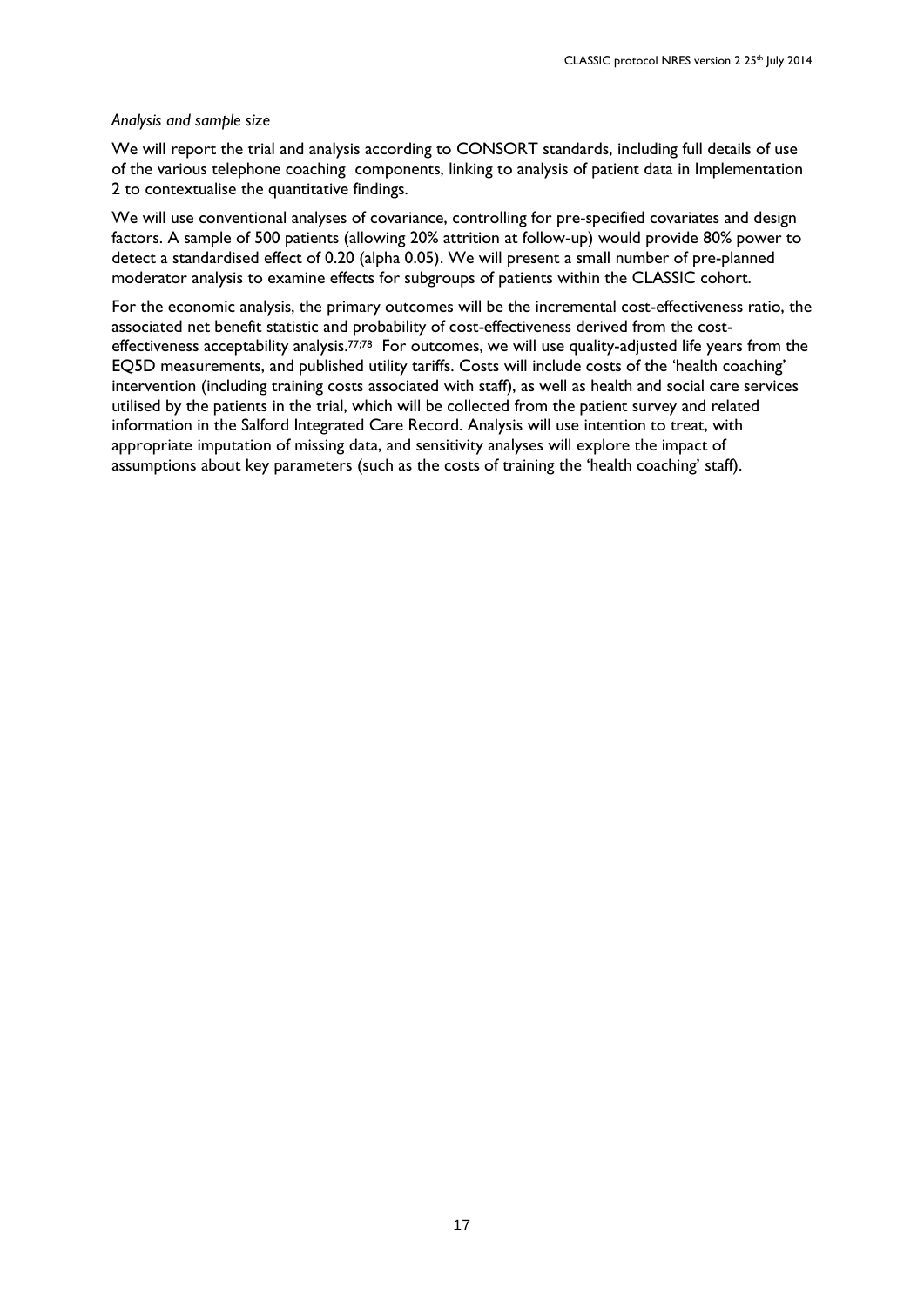#### *Analysis and sample size*

We will report the trial and analysis according to CONSORT standards, including full details of use of the various telephone coaching components, linking to analysis of patient data in Implementation 2 to contextualise the quantitative findings.

We will use conventional analyses of covariance, controlling for pre-specified covariates and design factors. A sample of 500 patients (allowing 20% attrition at follow-up) would provide 80% power to detect a standardised effect of 0.20 (alpha 0.05). We will present a small number of pre-planned moderator analysis to examine effects for subgroups of patients within the CLASSIC cohort.

For the economic analysis, the primary outcomes will be the incremental cost-effectiveness ratio, the associated net benefit statistic and probability of cost-effectiveness derived from the costeffectiveness acceptability analysis.<sup>77;78</sup> For outcomes, we will use quality-adjusted life years from the EQ5D measurements, and published utility tariffs. Costs will include costs of the 'health coaching' intervention (including training costs associated with staff), as well as health and social care services utilised by the patients in the trial, which will be collected from the patient survey and related information in the Salford Integrated Care Record. Analysis will use intention to treat, with appropriate imputation of missing data, and sensitivity analyses will explore the impact of assumptions about key parameters (such as the costs of training the 'health coaching' staff).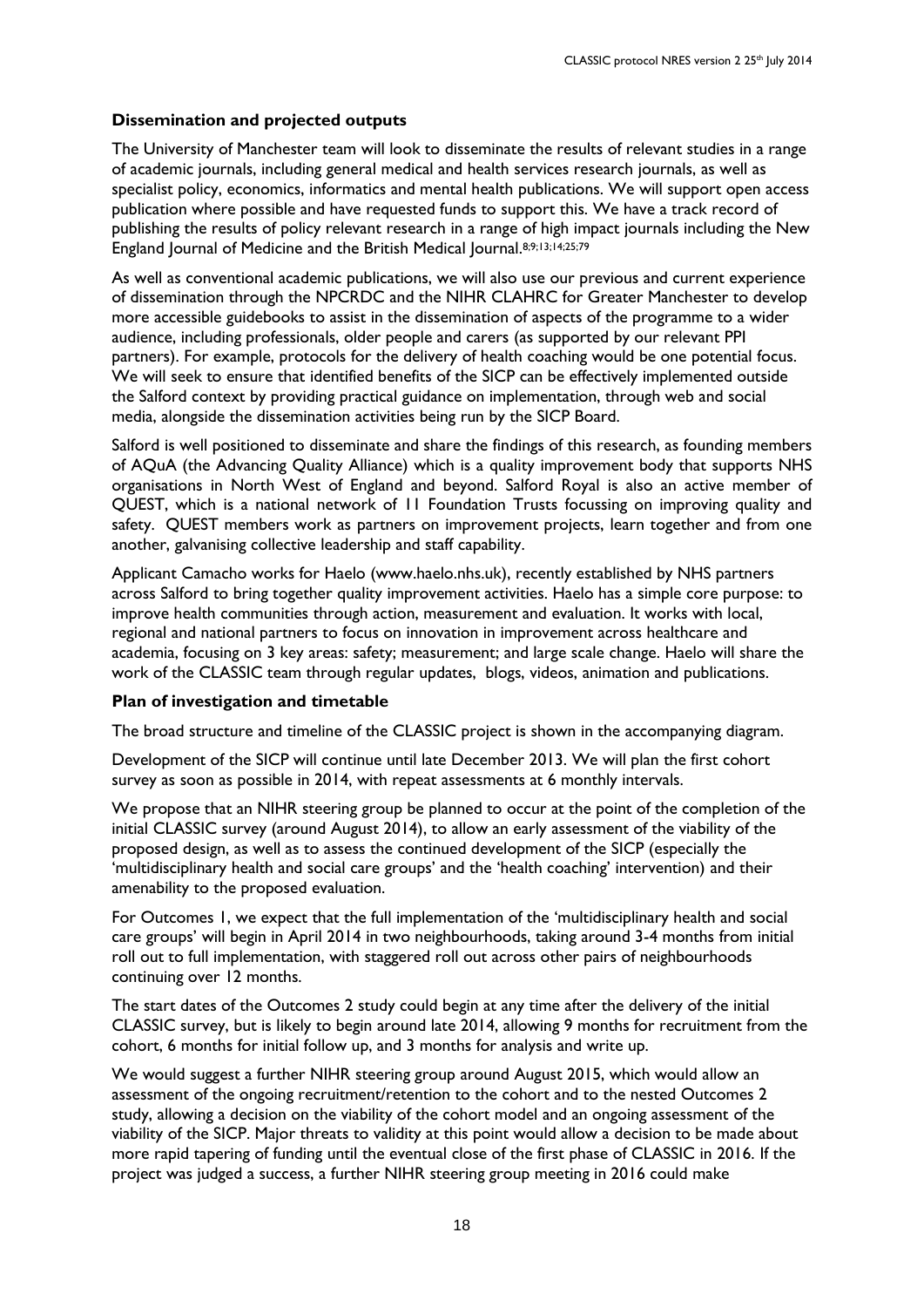### **Dissemination and projected outputs**

The University of Manchester team will look to disseminate the results of relevant studies in a range of academic journals, including general medical and health services research journals, as well as specialist policy, economics, informatics and mental health publications. We will support open access publication where possible and have requested funds to support this. We have a track record of publishing the results of policy relevant research in a range of high impact journals including the New England Journal of Medicine and the British Medical Journal. 8;9;13;14;25;79

As well as conventional academic publications, we will also use our previous and current experience of dissemination through the NPCRDC and the NIHR CLAHRC for Greater Manchester to develop more accessible guidebooks to assist in the dissemination of aspects of the programme to a wider audience, including professionals, older people and carers (as supported by our relevant PPI partners). For example, protocols for the delivery of health coaching would be one potential focus. We will seek to ensure that identified benefits of the SICP can be effectively implemented outside the Salford context by providing practical guidance on implementation, through web and social media, alongside the dissemination activities being run by the SICP Board.

Salford is well positioned to disseminate and share the findings of this research, as founding members of AQuA (the Advancing Quality Alliance) which is a quality improvement body that supports NHS organisations in North West of England and beyond. Salford Royal is also an active member of QUEST, which is a national network of 11 Foundation Trusts focussing on improving quality and safety. QUEST members work as partners on improvement projects, learn together and from one another, galvanising collective leadership and staff capability.

Applicant Camacho works for Haelo (www.haelo.nhs.uk), recently established by NHS partners across Salford to bring together quality improvement activities. Haelo has a simple core purpose: to improve health communities through action, measurement and evaluation. It works with local, regional and national partners to focus on innovation in improvement across healthcare and academia, focusing on 3 key areas: safety; measurement; and large scale change. Haelo will share the work of the CLASSIC team through regular updates, blogs, videos, animation and publications.

#### **Plan of investigation and timetable**

The broad structure and timeline of the CLASSIC project is shown in the accompanying diagram.

Development of the SICP will continue until late December 2013. We will plan the first cohort survey as soon as possible in 2014, with repeat assessments at 6 monthly intervals.

We propose that an NIHR steering group be planned to occur at the point of the completion of the initial CLASSIC survey (around August 2014), to allow an early assessment of the viability of the proposed design, as well as to assess the continued development of the SICP (especially the 'multidisciplinary health and social care groups' and the 'health coaching' intervention) and their amenability to the proposed evaluation.

For Outcomes 1, we expect that the full implementation of the 'multidisciplinary health and social care groups' will begin in April 2014 in two neighbourhoods, taking around 3-4 months from initial roll out to full implementation, with staggered roll out across other pairs of neighbourhoods continuing over 12 months.

The start dates of the Outcomes 2 study could begin at any time after the delivery of the initial CLASSIC survey, but is likely to begin around late 2014, allowing 9 months for recruitment from the cohort, 6 months for initial follow up, and 3 months for analysis and write up.

We would suggest a further NIHR steering group around August 2015, which would allow an assessment of the ongoing recruitment/retention to the cohort and to the nested Outcomes 2 study, allowing a decision on the viability of the cohort model and an ongoing assessment of the viability of the SICP. Major threats to validity at this point would allow a decision to be made about more rapid tapering of funding until the eventual close of the first phase of CLASSIC in 2016. If the project was judged a success, a further NIHR steering group meeting in 2016 could make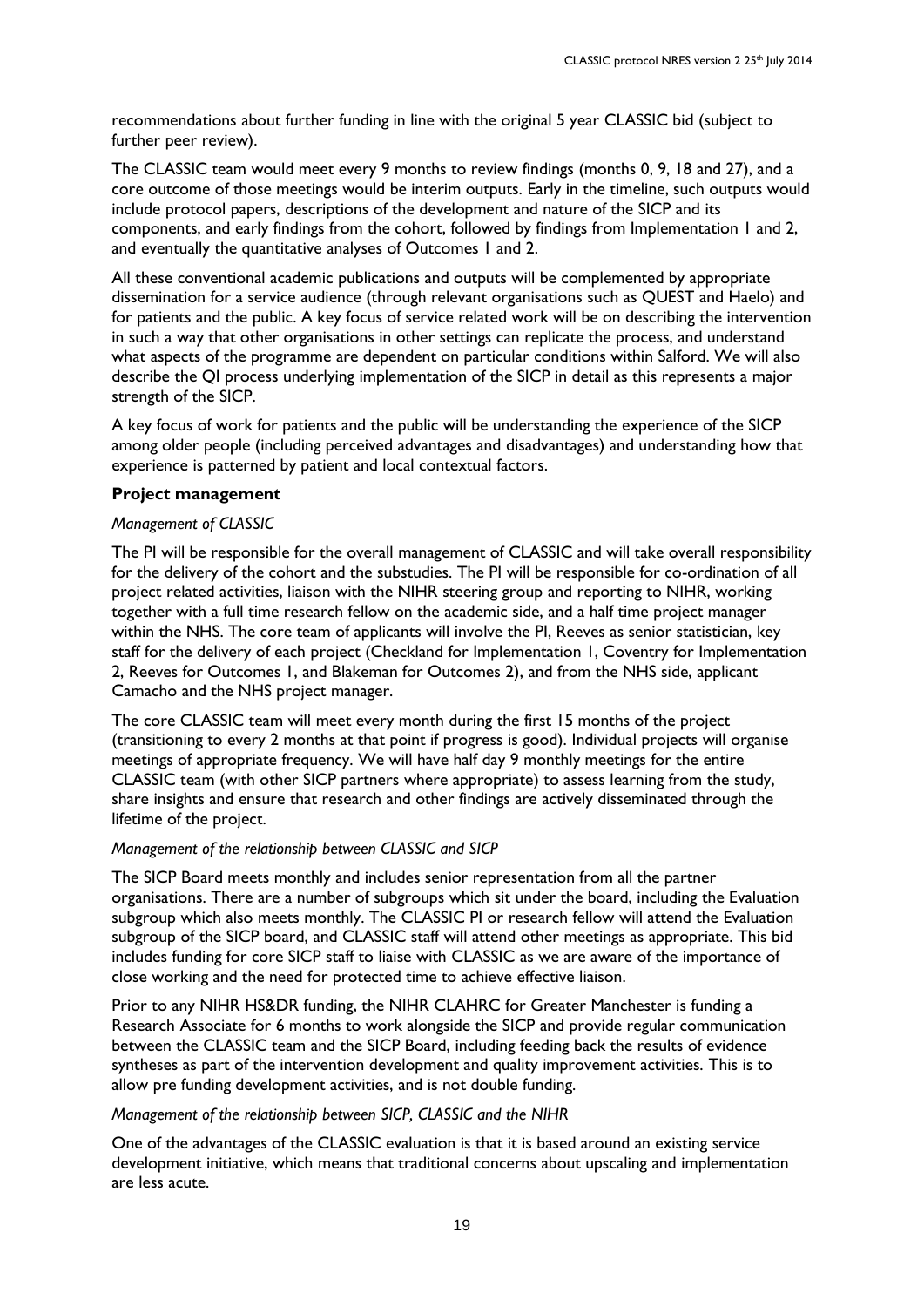recommendations about further funding in line with the original 5 year CLASSIC bid (subject to further peer review).

The CLASSIC team would meet every 9 months to review findings (months 0, 9, 18 and 27), and a core outcome of those meetings would be interim outputs. Early in the timeline, such outputs would include protocol papers, descriptions of the development and nature of the SICP and its components, and early findings from the cohort, followed by findings from Implementation 1 and 2, and eventually the quantitative analyses of Outcomes 1 and 2.

All these conventional academic publications and outputs will be complemented by appropriate dissemination for a service audience (through relevant organisations such as QUEST and Haelo) and for patients and the public. A key focus of service related work will be on describing the intervention in such a way that other organisations in other settings can replicate the process, and understand what aspects of the programme are dependent on particular conditions within Salford. We will also describe the QI process underlying implementation of the SICP in detail as this represents a major strength of the SICP.

A key focus of work for patients and the public will be understanding the experience of the SICP among older people (including perceived advantages and disadvantages) and understanding how that experience is patterned by patient and local contextual factors.

## **Project management**

## *Management of CLASSIC*

The PI will be responsible for the overall management of CLASSIC and will take overall responsibility for the delivery of the cohort and the substudies. The PI will be responsible for co-ordination of all project related activities, liaison with the NIHR steering group and reporting to NIHR, working together with a full time research fellow on the academic side, and a half time project manager within the NHS. The core team of applicants will involve the PI, Reeves as senior statistician, key staff for the delivery of each project (Checkland for Implementation 1, Coventry for Implementation 2, Reeves for Outcomes 1, and Blakeman for Outcomes 2), and from the NHS side, applicant Camacho and the NHS project manager.

The core CLASSIC team will meet every month during the first 15 months of the project (transitioning to every 2 months at that point if progress is good). Individual projects will organise meetings of appropriate frequency. We will have half day 9 monthly meetings for the entire CLASSIC team (with other SICP partners where appropriate) to assess learning from the study, share insights and ensure that research and other findings are actively disseminated through the lifetime of the project.

## *Management of the relationship between CLASSIC and SICP*

The SICP Board meets monthly and includes senior representation from all the partner organisations. There are a number of subgroups which sit under the board, including the Evaluation subgroup which also meets monthly. The CLASSIC PI or research fellow will attend the Evaluation subgroup of the SICP board, and CLASSIC staff will attend other meetings as appropriate. This bid includes funding for core SICP staff to liaise with CLASSIC as we are aware of the importance of close working and the need for protected time to achieve effective liaison.

Prior to any NIHR HS&DR funding, the NIHR CLAHRC for Greater Manchester is funding a Research Associate for 6 months to work alongside the SICP and provide regular communication between the CLASSIC team and the SICP Board, including feeding back the results of evidence syntheses as part of the intervention development and quality improvement activities. This is to allow pre funding development activities, and is not double funding.

*Management of the relationship between SICP, CLASSIC and the NIHR*

One of the advantages of the CLASSIC evaluation is that it is based around an existing service development initiative, which means that traditional concerns about upscaling and implementation are less acute.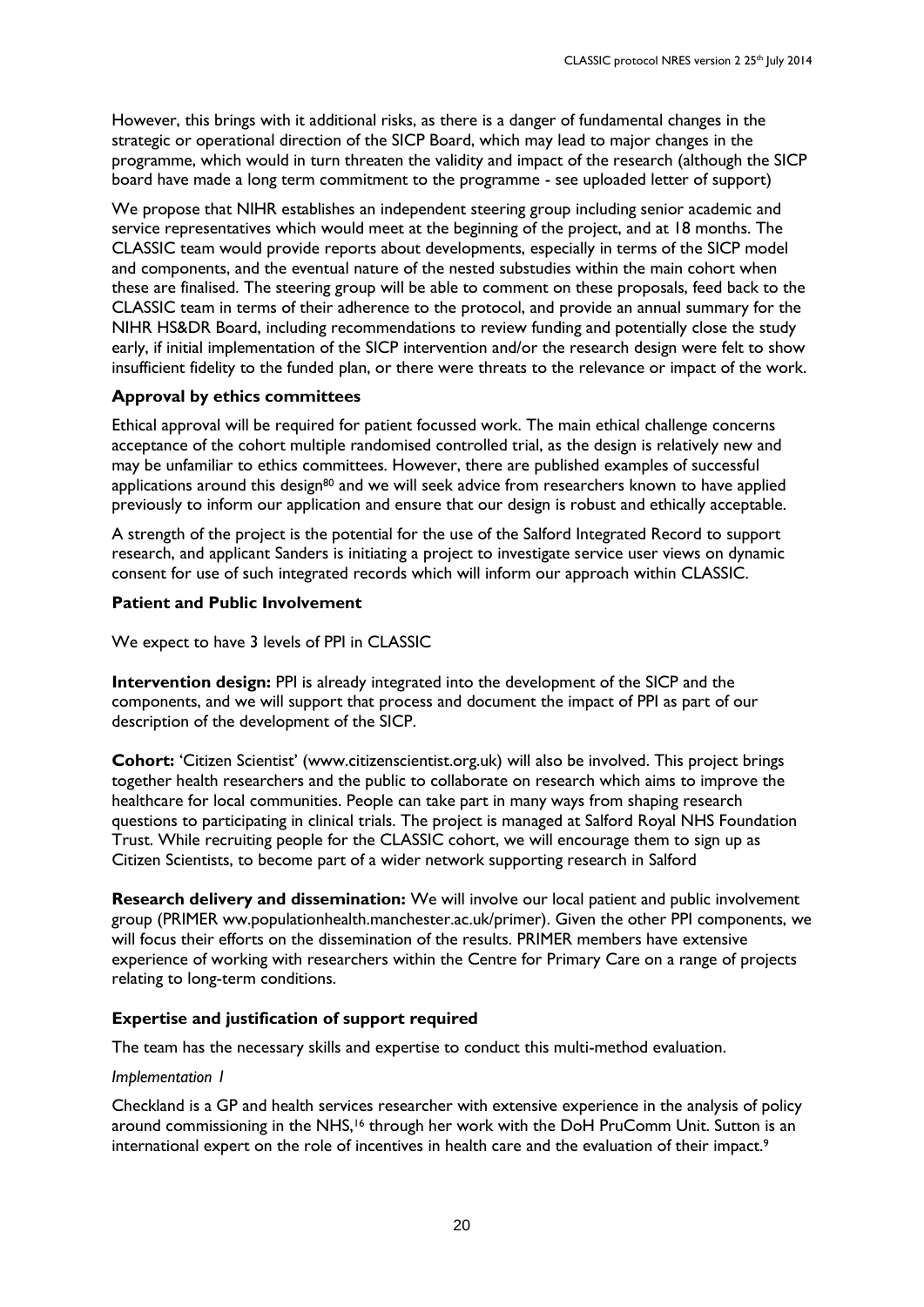However, this brings with it additional risks, as there is a danger of fundamental changes in the strategic or operational direction of the SICP Board, which may lead to major changes in the programme, which would in turn threaten the validity and impact of the research (although the SICP board have made a long term commitment to the programme - see uploaded letter of support)

We propose that NIHR establishes an independent steering group including senior academic and service representatives which would meet at the beginning of the project, and at 18 months. The CLASSIC team would provide reports about developments, especially in terms of the SICP model and components, and the eventual nature of the nested substudies within the main cohort when these are finalised. The steering group will be able to comment on these proposals, feed back to the CLASSIC team in terms of their adherence to the protocol, and provide an annual summary for the NIHR HS&DR Board, including recommendations to review funding and potentially close the study early, if initial implementation of the SICP intervention and/or the research design were felt to show insufficient fidelity to the funded plan, or there were threats to the relevance or impact of the work.

### **Approval by ethics committees**

Ethical approval will be required for patient focussed work. The main ethical challenge concerns acceptance of the cohort multiple randomised controlled trial, as the design is relatively new and may be unfamiliar to ethics committees. However, there are published examples of successful applications around this design<sup>80</sup> and we will seek advice from researchers known to have applied previously to inform our application and ensure that our design is robust and ethically acceptable.

A strength of the project is the potential for the use of the Salford Integrated Record to support research, and applicant Sanders is initiating a project to investigate service user views on dynamic consent for use of such integrated records which will inform our approach within CLASSIC.

### **Patient and Public Involvement**

We expect to have 3 levels of PPI in CLASSIC

**Intervention design:** PPI is already integrated into the development of the SICP and the components, and we will support that process and document the impact of PPI as part of our description of the development of the SICP.

**Cohort:** 'Citizen Scientist' (www.citizenscientist.org.uk) will also be involved. This project brings together health researchers and the public to collaborate on research which aims to improve the healthcare for local communities. People can take part in many ways from shaping research questions to participating in clinical trials. The project is managed at Salford Royal NHS Foundation Trust. While recruiting people for the CLASSIC cohort, we will encourage them to sign up as Citizen Scientists, to become part of a wider network supporting research in Salford

**Research delivery and dissemination:** We will involve our local patient and public involvement group (PRIMER ww.populationhealth.manchester.ac.uk/primer). Given the other PPI components, we will focus their efforts on the dissemination of the results. PRIMER members have extensive experience of working with researchers within the Centre for Primary Care on a range of projects relating to long-term conditions.

### **Expertise and justification of support required**

The team has the necessary skills and expertise to conduct this multi-method evaluation.

#### *Implementation 1*

Checkland is a GP and health services researcher with extensive experience in the analysis of policy around commissioning in the NHS,<sup>16</sup> through her work with the DoH PruComm Unit. Sutton is an international expert on the role of incentives in health care and the evaluation of their impact.9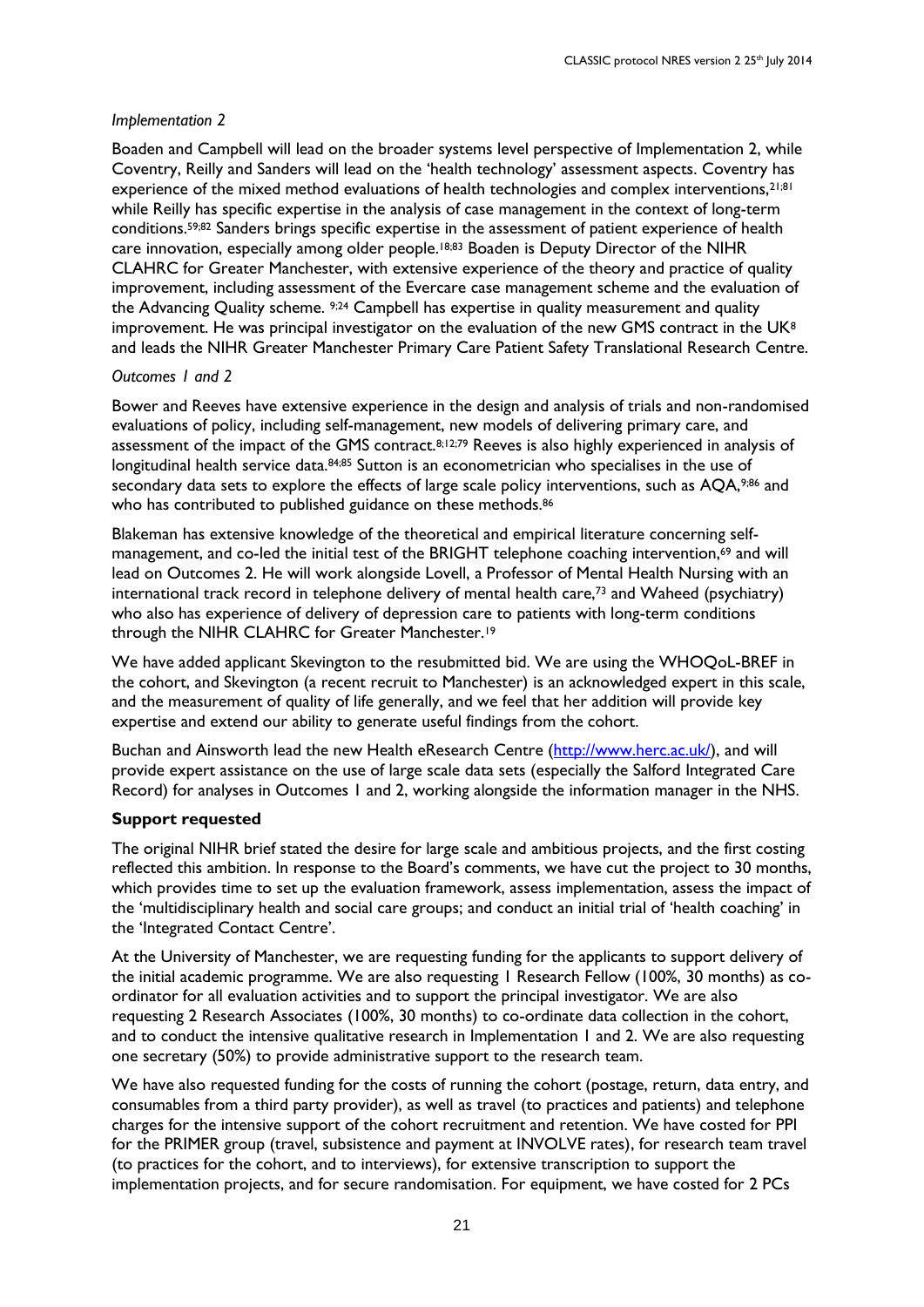#### *Implementation 2*

Boaden and Campbell will lead on the broader systems level perspective of Implementation 2, while Coventry, Reilly and Sanders will lead on the 'health technology' assessment aspects. Coventry has experience of the mixed method evaluations of health technologies and complex interventions,<sup>21;81</sup> while Reilly has specific expertise in the analysis of case management in the context of long-term conditions. 59;82 Sanders brings specific expertise in the assessment of patient experience of health care innovation, especially among older people.18;83 Boaden is Deputy Director of the NIHR CLAHRC for Greater Manchester, with extensive experience of the theory and practice of quality improvement, including assessment of the Evercare case management scheme and the evaluation of the Advancing Quality scheme.  $224$  Campbell has expertise in quality measurement and quality improvement. He was principal investigator on the evaluation of the new GMS contract in the UK<sup>8</sup> and leads the NIHR Greater Manchester Primary Care Patient Safety Translational Research Centre.

#### *Outcomes 1 and 2*

Bower and Reeves have extensive experience in the design and analysis of trials and non-randomised evaluations of policy, including self-management, new models of delivering primary care, and assessment of the impact of the GMS contract.<sup>8;12;79</sup> Reeves is also highly experienced in analysis of longitudinal health service data.<sup>84;85</sup> Sutton is an econometrician who specialises in the use of secondary data sets to explore the effects of large scale policy interventions, such as AQA,9;86 and who has contributed to published guidance on these methods.<sup>86</sup>

Blakeman has extensive knowledge of the theoretical and empirical literature concerning selfmanagement, and co-led the initial test of the BRIGHT telephone coaching intervention,<sup>69</sup> and will lead on Outcomes 2. He will work alongside Lovell, a Professor of Mental Health Nursing with an international track record in telephone delivery of mental health care,<sup>73</sup> and Waheed (psychiatry) who also has experience of delivery of depression care to patients with long-term conditions through the NIHR CLAHRC for Greater Manchester.<sup>19</sup>

We have added applicant Skevington to the resubmitted bid. We are using the WHOQoL-BREF in the cohort, and Skevington (a recent recruit to Manchester) is an acknowledged expert in this scale, and the measurement of quality of life generally, and we feel that her addition will provide key expertise and extend our ability to generate useful findings from the cohort.

Buchan and Ainsworth lead the new Health eResearch Centre [\(http://www.herc.ac.uk/\)](http://www.herc.ac.uk/), and will provide expert assistance on the use of large scale data sets (especially the Salford Integrated Care Record) for analyses in Outcomes 1 and 2, working alongside the information manager in the NHS.

### **Support requested**

The original NIHR brief stated the desire for large scale and ambitious projects, and the first costing reflected this ambition. In response to the Board's comments, we have cut the project to 30 months, which provides time to set up the evaluation framework, assess implementation, assess the impact of the 'multidisciplinary health and social care groups; and conduct an initial trial of 'health coaching' in the 'Integrated Contact Centre'.

At the University of Manchester, we are requesting funding for the applicants to support delivery of the initial academic programme. We are also requesting 1 Research Fellow (100%, 30 months) as coordinator for all evaluation activities and to support the principal investigator. We are also requesting 2 Research Associates (100%, 30 months) to co-ordinate data collection in the cohort, and to conduct the intensive qualitative research in Implementation 1 and 2. We are also requesting one secretary (50%) to provide administrative support to the research team.

We have also requested funding for the costs of running the cohort (postage, return, data entry, and consumables from a third party provider), as well as travel (to practices and patients) and telephone charges for the intensive support of the cohort recruitment and retention. We have costed for PPI for the PRIMER group (travel, subsistence and payment at INVOLVE rates), for research team travel (to practices for the cohort, and to interviews), for extensive transcription to support the implementation projects, and for secure randomisation. For equipment, we have costed for 2 PCs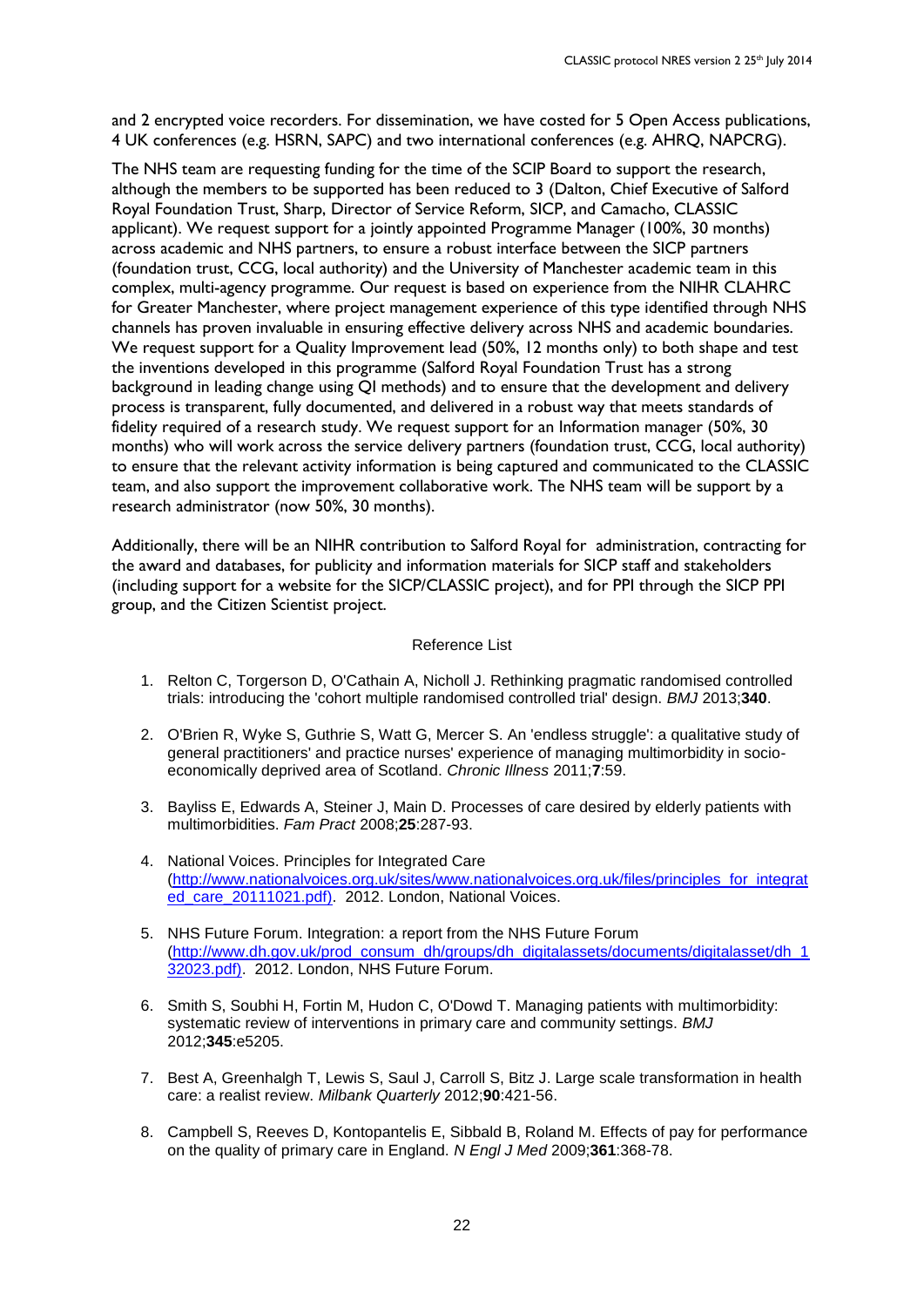and 2 encrypted voice recorders. For dissemination, we have costed for 5 Open Access publications, 4 UK conferences (e.g. HSRN, SAPC) and two international conferences (e.g. AHRQ, NAPCRG).

The NHS team are requesting funding for the time of the SCIP Board to support the research, although the members to be supported has been reduced to 3 (Dalton, Chief Executive of Salford Royal Foundation Trust, Sharp, Director of Service Reform, SICP, and Camacho, CLASSIC applicant). We request support for a jointly appointed Programme Manager (100%, 30 months) across academic and NHS partners, to ensure a robust interface between the SICP partners (foundation trust, CCG, local authority) and the University of Manchester academic team in this complex, multi-agency programme. Our request is based on experience from the NIHR CLAHRC for Greater Manchester, where project management experience of this type identified through NHS channels has proven invaluable in ensuring effective delivery across NHS and academic boundaries. We request support for a Quality Improvement lead (50%, 12 months only) to both shape and test the inventions developed in this programme (Salford Royal Foundation Trust has a strong background in leading change using QI methods) and to ensure that the development and delivery process is transparent, fully documented, and delivered in a robust way that meets standards of fidelity required of a research study. We request support for an Information manager (50%, 30 months) who will work across the service delivery partners (foundation trust, CCG, local authority) to ensure that the relevant activity information is being captured and communicated to the CLASSIC team, and also support the improvement collaborative work. The NHS team will be support by a research administrator (now 50%, 30 months).

Additionally, there will be an NIHR contribution to Salford Royal for administration, contracting for the award and databases, for publicity and information materials for SICP staff and stakeholders (including support for a website for the SICP/CLASSIC project), and for PPI through the SICP PPI group, and the Citizen Scientist project.

#### Reference List

- 1. Relton C, Torgerson D, O'Cathain A, Nicholl J. Rethinking pragmatic randomised controlled trials: introducing the 'cohort multiple randomised controlled trial' design. *BMJ* 2013;**340**.
- 2. O'Brien R, Wyke S, Guthrie S, Watt G, Mercer S. An 'endless struggle': a qualitative study of general practitioners' and practice nurses' experience of managing multimorbidity in socioeconomically deprived area of Scotland. *Chronic Illness* 2011;**7**:59.
- 3. Bayliss E, Edwards A, Steiner J, Main D. Processes of care desired by elderly patients with multimorbidities. *Fam Pract* 2008;**25**:287-93.
- 4. National Voices. Principles for Integrated Care [\(http://www.nationalvoices.org.uk/sites/www.nationalvoices.org.uk/files/principles\\_for\\_integrat](http://www.nationalvoices.org.uk/sites/www.nationalvoices.org.uk/files/principles_for_integrated_care_20111021.pdf)) [ed\\_care\\_20111021.pdf\).](http://www.nationalvoices.org.uk/sites/www.nationalvoices.org.uk/files/principles_for_integrated_care_20111021.pdf)) 2012. London, National Voices.
- 5. NHS Future Forum. Integration: a report from the NHS Future Forum [\(http://www.dh.gov.uk/prod\\_consum\\_dh/groups/dh\\_digitalassets/documents/digitalasset/dh\\_1](http://www.dh.gov.uk/prod_consum_dh/groups/dh_digitalassets/documents/digitalasset/dh_132023.pdf)) [32023.pdf\).](http://www.dh.gov.uk/prod_consum_dh/groups/dh_digitalassets/documents/digitalasset/dh_132023.pdf)) 2012. London, NHS Future Forum.
- 6. Smith S, Soubhi H, Fortin M, Hudon C, O'Dowd T. Managing patients with multimorbidity: systematic review of interventions in primary care and community settings. *BMJ* 2012;**345**:e5205.
- 7. Best A, Greenhalgh T, Lewis S, Saul J, Carroll S, Bitz J. Large scale transformation in health care: a realist review. *Milbank Quarterly* 2012;**90**:421-56.
- 8. Campbell S, Reeves D, Kontopantelis E, Sibbald B, Roland M. Effects of pay for performance on the quality of primary care in England. *N Engl J Med* 2009;**361**:368-78.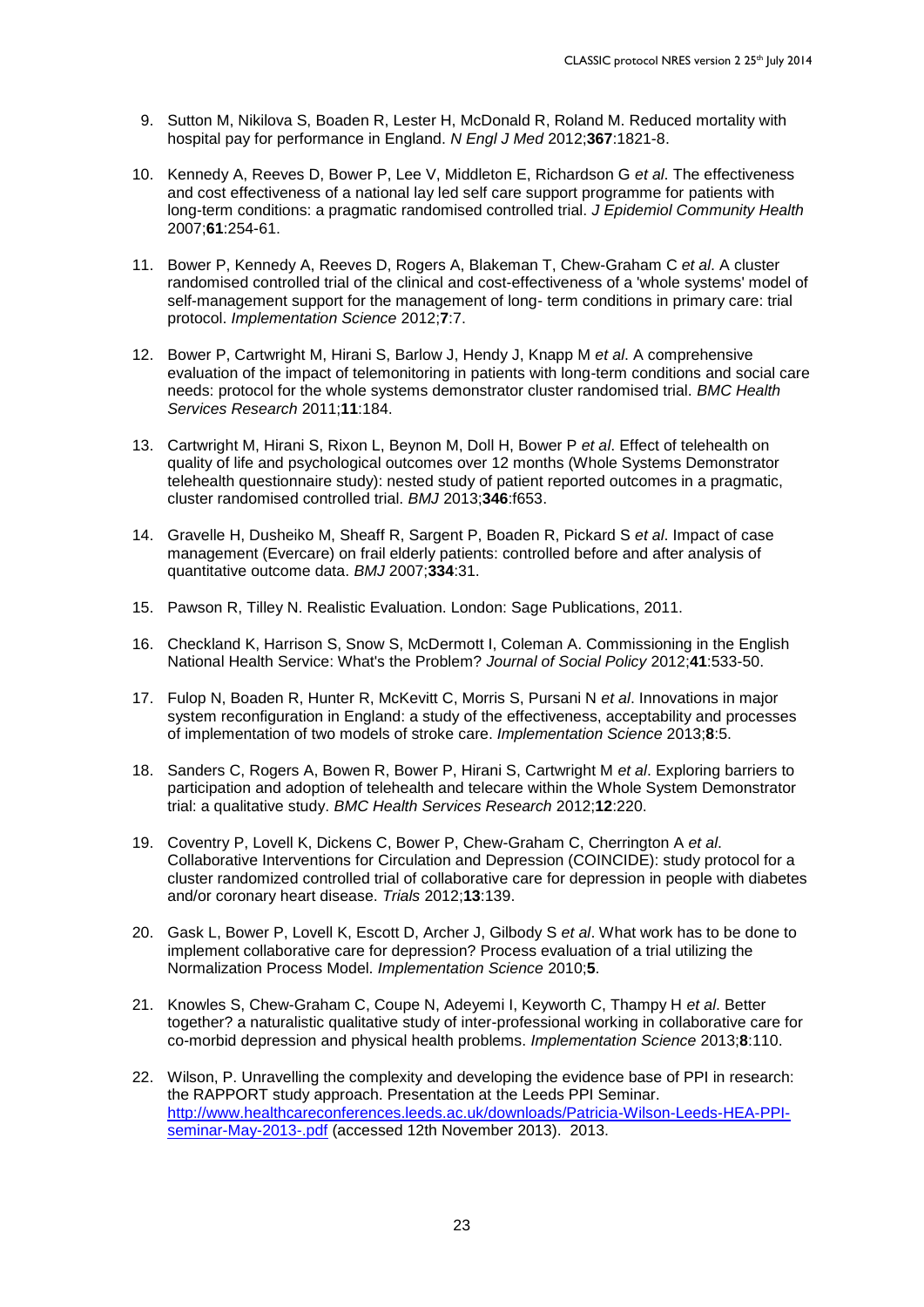- 9. Sutton M, Nikilova S, Boaden R, Lester H, McDonald R, Roland M. Reduced mortality with hospital pay for performance in England. *N Engl J Med* 2012;**367**:1821-8.
- 10. Kennedy A, Reeves D, Bower P, Lee V, Middleton E, Richardson G *et al*. The effectiveness and cost effectiveness of a national lay led self care support programme for patients with long-term conditions: a pragmatic randomised controlled trial. *J Epidemiol Community Health* 2007;**61**:254-61.
- 11. Bower P, Kennedy A, Reeves D, Rogers A, Blakeman T, Chew-Graham C *et al*. A cluster randomised controlled trial of the clinical and cost-effectiveness of a 'whole systems' model of self-management support for the management of long- term conditions in primary care: trial protocol. *Implementation Science* 2012;**7**:7.
- 12. Bower P, Cartwright M, Hirani S, Barlow J, Hendy J, Knapp M *et al*. A comprehensive evaluation of the impact of telemonitoring in patients with long-term conditions and social care needs: protocol for the whole systems demonstrator cluster randomised trial. *BMC Health Services Research* 2011;**11**:184.
- 13. Cartwright M, Hirani S, Rixon L, Beynon M, Doll H, Bower P *et al*. Effect of telehealth on quality of life and psychological outcomes over 12 months (Whole Systems Demonstrator telehealth questionnaire study): nested study of patient reported outcomes in a pragmatic, cluster randomised controlled trial. *BMJ* 2013;**346**:f653.
- 14. Gravelle H, Dusheiko M, Sheaff R, Sargent P, Boaden R, Pickard S *et al*. Impact of case management (Evercare) on frail elderly patients: controlled before and after analysis of quantitative outcome data. *BMJ* 2007;**334**:31.
- 15. Pawson R, Tilley N. Realistic Evaluation. London: Sage Publications, 2011.
- 16. Checkland K, Harrison S, Snow S, McDermott I, Coleman A. Commissioning in the English National Health Service: What's the Problem? *Journal of Social Policy* 2012;**41**:533-50.
- 17. Fulop N, Boaden R, Hunter R, McKevitt C, Morris S, Pursani N *et al*. Innovations in major system reconfiguration in England: a study of the effectiveness, acceptability and processes of implementation of two models of stroke care. *Implementation Science* 2013;**8**:5.
- 18. Sanders C, Rogers A, Bowen R, Bower P, Hirani S, Cartwright M *et al*. Exploring barriers to participation and adoption of telehealth and telecare within the Whole System Demonstrator trial: a qualitative study. *BMC Health Services Research* 2012;**12**:220.
- 19. Coventry P, Lovell K, Dickens C, Bower P, Chew-Graham C, Cherrington A *et al*. Collaborative Interventions for Circulation and Depression (COINCIDE): study protocol for a cluster randomized controlled trial of collaborative care for depression in people with diabetes and/or coronary heart disease. *Trials* 2012;**13**:139.
- 20. Gask L, Bower P, Lovell K, Escott D, Archer J, Gilbody S *et al*. What work has to be done to implement collaborative care for depression? Process evaluation of a trial utilizing the Normalization Process Model. *Implementation Science* 2010;**5**.
- 21. Knowles S, Chew-Graham C, Coupe N, Adeyemi I, Keyworth C, Thampy H *et al*. Better together? a naturalistic qualitative study of inter-professional working in collaborative care for co-morbid depression and physical health problems. *Implementation Science* 2013;**8**:110.
- 22. Wilson, P. Unravelling the complexity and developing the evidence base of PPI in research: the RAPPORT study approach. Presentation at the Leeds PPI Seminar. [http://www.healthcareconferences.leeds.ac.uk/downloads/Patricia-Wilson-Leeds-HEA-PPI](http://www.healthcareconferences.leeds.ac.uk/downloads/Patricia-Wilson-Leeds-HEA-PPI-seminar-May-2013-.pdf)[seminar-May-2013-.pdf](http://www.healthcareconferences.leeds.ac.uk/downloads/Patricia-Wilson-Leeds-HEA-PPI-seminar-May-2013-.pdf) (accessed 12th November 2013). 2013.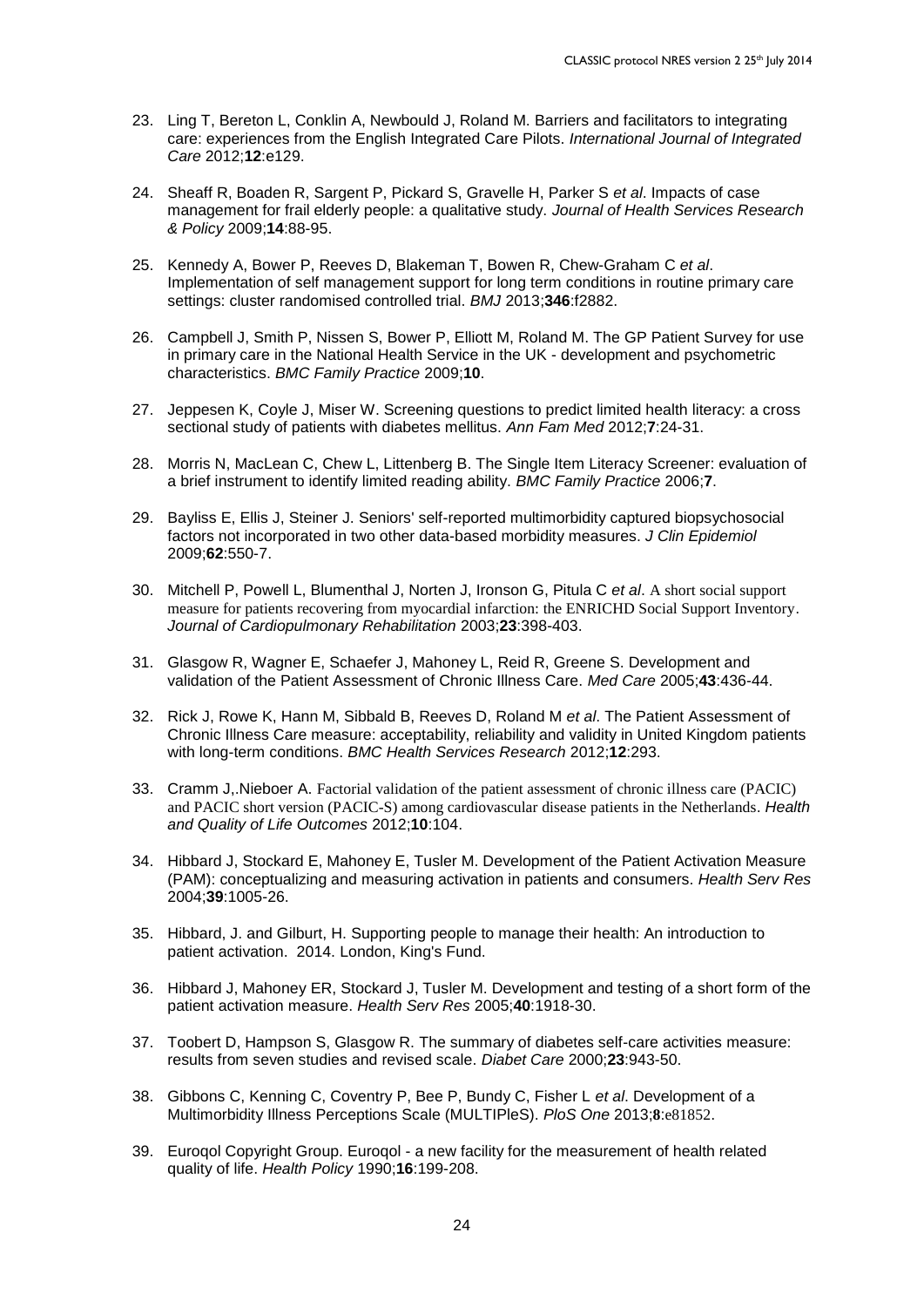- 23. Ling T, Bereton L, Conklin A, Newbould J, Roland M. Barriers and facilitators to integrating care: experiences from the English Integrated Care Pilots. *International Journal of Integrated Care* 2012;**12**:e129.
- 24. Sheaff R, Boaden R, Sargent P, Pickard S, Gravelle H, Parker S *et al*. Impacts of case management for frail elderly people: a qualitative study. *Journal of Health Services Research & Policy* 2009;**14**:88-95.
- 25. Kennedy A, Bower P, Reeves D, Blakeman T, Bowen R, Chew-Graham C *et al*. Implementation of self management support for long term conditions in routine primary care settings: cluster randomised controlled trial. *BMJ* 2013;**346**:f2882.
- 26. Campbell J, Smith P, Nissen S, Bower P, Elliott M, Roland M. The GP Patient Survey for use in primary care in the National Health Service in the UK - development and psychometric characteristics. *BMC Family Practice* 2009;**10**.
- 27. Jeppesen K, Coyle J, Miser W. Screening questions to predict limited health literacy: a cross sectional study of patients with diabetes mellitus. *Ann Fam Med* 2012;**7**:24-31.
- 28. Morris N, MacLean C, Chew L, Littenberg B. The Single Item Literacy Screener: evaluation of a brief instrument to identify limited reading ability. *BMC Family Practice* 2006;**7**.
- 29. Bayliss E, Ellis J, Steiner J. Seniors' self-reported multimorbidity captured biopsychosocial factors not incorporated in two other data-based morbidity measures. *J Clin Epidemiol* 2009;**62**:550-7.
- 30. Mitchell P, Powell L, Blumenthal J, Norten J, Ironson G, Pitula C *et al*. A short social support measure for patients recovering from myocardial infarction: the ENRICHD Social Support Inventory. *Journal of Cardiopulmonary Rehabilitation* 2003;**23**:398-403.
- 31. Glasgow R, Wagner E, Schaefer J, Mahoney L, Reid R, Greene S. Development and validation of the Patient Assessment of Chronic Illness Care. *Med Care* 2005;**43**:436-44.
- 32. Rick J, Rowe K, Hann M, Sibbald B, Reeves D, Roland M *et al*. The Patient Assessment of Chronic Illness Care measure: acceptability, reliability and validity in United Kingdom patients with long-term conditions. *BMC Health Services Research* 2012;**12**:293.
- 33. Cramm J,.Nieboer A. Factorial validation of the patient assessment of chronic illness care (PACIC) and PACIC short version (PACIC-S) among cardiovascular disease patients in the Netherlands. *Health and Quality of Life Outcomes* 2012;**10**:104.
- 34. Hibbard J, Stockard E, Mahoney E, Tusler M. Development of the Patient Activation Measure (PAM): conceptualizing and measuring activation in patients and consumers. *Health Serv Res* 2004;**39**:1005-26.
- 35. Hibbard, J. and Gilburt, H. Supporting people to manage their health: An introduction to patient activation. 2014. London, King's Fund.
- 36. Hibbard J, Mahoney ER, Stockard J, Tusler M. Development and testing of a short form of the patient activation measure. *Health Serv Res* 2005;**40**:1918-30.
- 37. Toobert D, Hampson S, Glasgow R. The summary of diabetes self-care activities measure: results from seven studies and revised scale. *Diabet Care* 2000;**23**:943-50.
- 38. Gibbons C, Kenning C, Coventry P, Bee P, Bundy C, Fisher L *et al*. Development of a Multimorbidity Illness Perceptions Scale (MULTIPleS). *PloS One* 2013;**8**:e81852.
- 39. Euroqol Copyright Group. Euroqol a new facility for the measurement of health related quality of life. *Health Policy* 1990;**16**:199-208.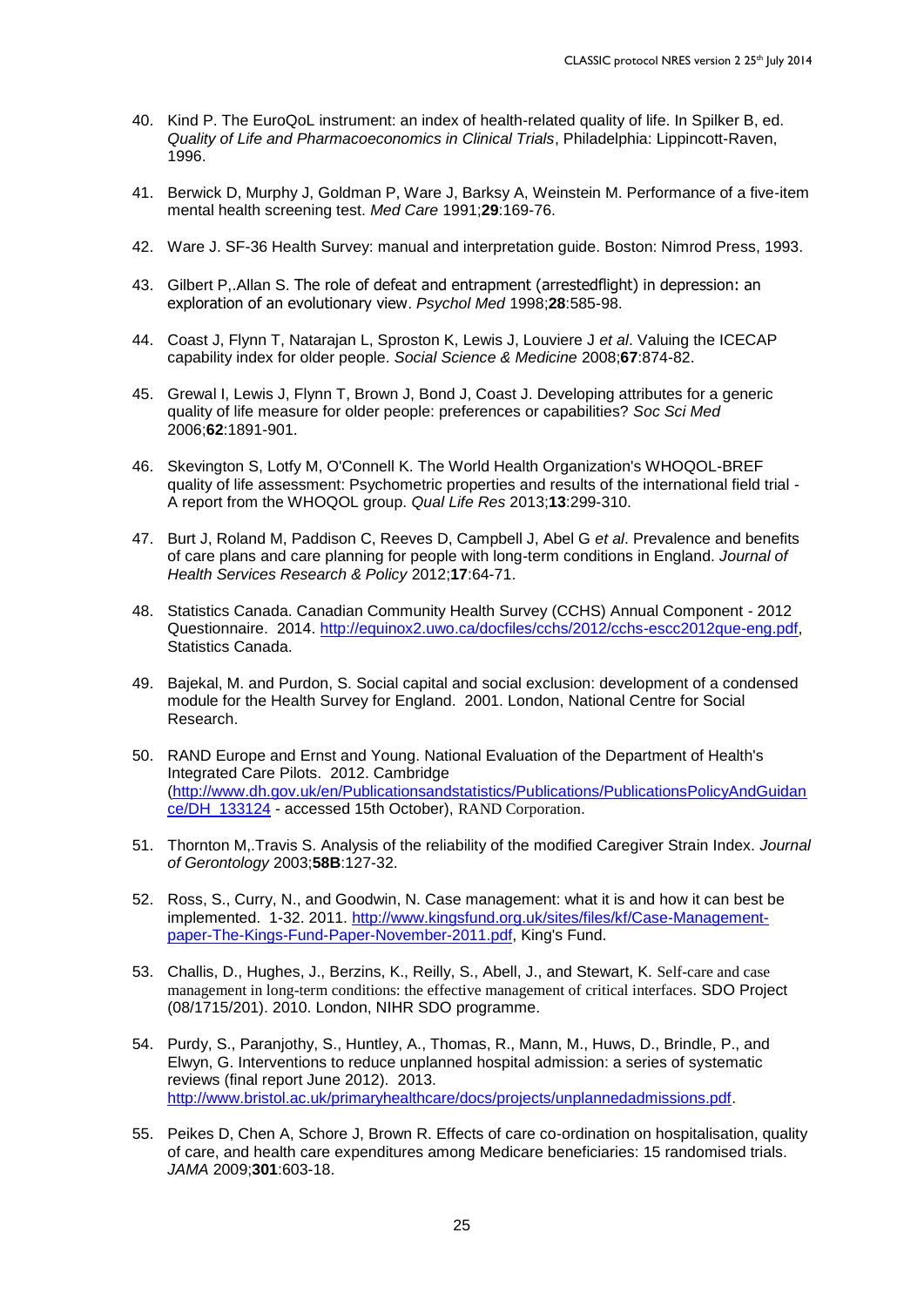- 40. Kind P. The EuroQoL instrument: an index of health-related quality of life. In Spilker B, ed. *Quality of Life and Pharmacoeconomics in Clinical Trials*, Philadelphia: Lippincott-Raven, 1996.
- 41. Berwick D, Murphy J, Goldman P, Ware J, Barksy A, Weinstein M. Performance of a five-item mental health screening test. *Med Care* 1991;**29**:169-76.
- 42. Ware J. SF-36 Health Survey: manual and interpretation guide. Boston: Nimrod Press, 1993.
- 43. Gilbert P,.Allan S. The role of defeat and entrapment (arrestedflight) in depression: an exploration of an evolutionary view. *Psychol Med* 1998;**28**:585-98.
- 44. Coast J, Flynn T, Natarajan L, Sproston K, Lewis J, Louviere J *et al*. Valuing the ICECAP capability index for older people. *Social Science & Medicine* 2008;**67**:874-82.
- 45. Grewal I, Lewis J, Flynn T, Brown J, Bond J, Coast J. Developing attributes for a generic quality of life measure for older people: preferences or capabilities? *Soc Sci Med* 2006;**62**:1891-901.
- 46. Skevington S, Lotfy M, O'Connell K. The World Health Organization's WHOQOL-BREF quality of life assessment: Psychometric properties and results of the international field trial - A report from the WHOQOL group. *Qual Life Res* 2013;**13**:299-310.
- 47. Burt J, Roland M, Paddison C, Reeves D, Campbell J, Abel G *et al*. Prevalence and benefits of care plans and care planning for people with long-term conditions in England. *Journal of Health Services Research & Policy* 2012;**17**:64-71.
- 48. Statistics Canada. Canadian Community Health Survey (CCHS) Annual Component 2012 Questionnaire. 2014. [http://equinox2.uwo.ca/docfiles/cchs/2012/cchs-escc2012que-eng.pdf,](http://equinox2.uwo.ca/docfiles/cchs/2012/cchs-escc2012que-eng.pdf) Statistics Canada.
- 49. Bajekal, M. and Purdon, S. Social capital and social exclusion: development of a condensed module for the Health Survey for England. 2001. London, National Centre for Social Research.
- 50. RAND Europe and Ernst and Young. National Evaluation of the Department of Health's Integrated Care Pilots. 2012. Cambridge [\(http://www.dh.gov.uk/en/Publicationsandstatistics/Publications/PublicationsPolicyAndGuidan](http://www.dh.gov.uk/en/Publicationsandstatistics/Publications/PublicationsPolicyAndGuidance/DH_133124) [ce/DH\\_133124](http://www.dh.gov.uk/en/Publicationsandstatistics/Publications/PublicationsPolicyAndGuidance/DH_133124) - accessed 15th October), RAND Corporation.
- 51. Thornton M,.Travis S. Analysis of the reliability of the modified Caregiver Strain Index. *Journal of Gerontology* 2003;**58B**:127-32.
- 52. Ross, S., Curry, N., and Goodwin, N. Case management: what it is and how it can best be implemented. 1-32. 2011. [http://www.kingsfund.org.uk/sites/files/kf/Case-Management](http://www.kingsfund.org.uk/sites/files/kf/Case-Management-paper-The-Kings-Fund-Paper-November-2011.pdf)[paper-The-Kings-Fund-Paper-November-2011.pdf,](http://www.kingsfund.org.uk/sites/files/kf/Case-Management-paper-The-Kings-Fund-Paper-November-2011.pdf) King's Fund.
- 53. Challis, D., Hughes, J., Berzins, K., Reilly, S., Abell, J., and Stewart, K. Self-care and case management in long-term conditions: the effective management of critical interfaces. SDO Project (08/1715/201). 2010. London, NIHR SDO programme.
- 54. Purdy, S., Paranjothy, S., Huntley, A., Thomas, R., Mann, M., Huws, D., Brindle, P., and Elwyn, G. Interventions to reduce unplanned hospital admission: a series of systematic reviews (final report June 2012). 2013. [http://www.bristol.ac.uk/primaryhealthcare/docs/projects/unplannedadmissions.pdf.](http://www.bristol.ac.uk/primaryhealthcare/docs/projects/unplannedadmissions.pdf)
- 55. Peikes D, Chen A, Schore J, Brown R. Effects of care co-ordination on hospitalisation, quality of care, and health care expenditures among Medicare beneficiaries: 15 randomised trials. *JAMA* 2009;**301**:603-18.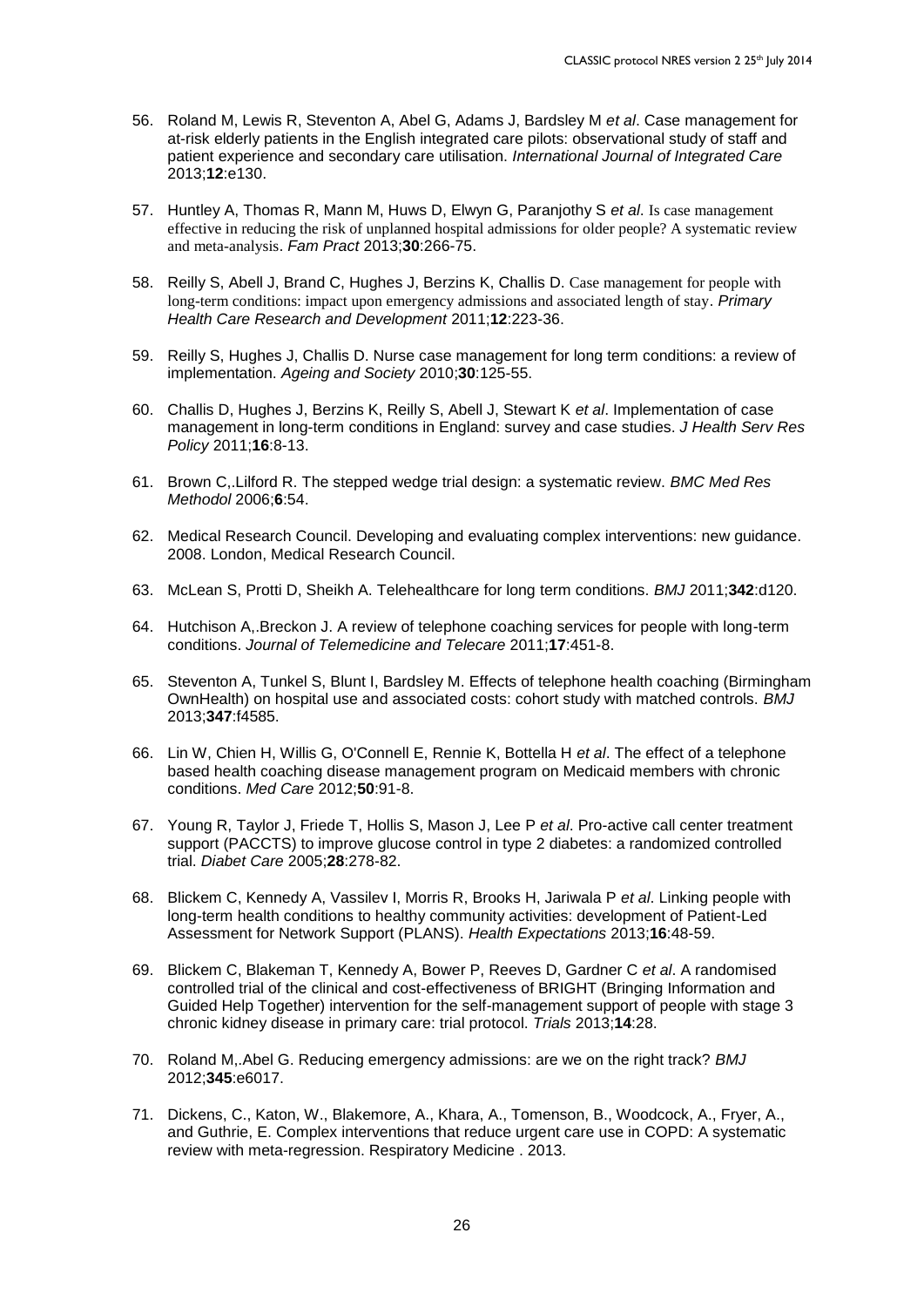- 56. Roland M, Lewis R, Steventon A, Abel G, Adams J, Bardsley M *et al*. Case management for at-risk elderly patients in the English integrated care pilots: observational study of staff and patient experience and secondary care utilisation. *International Journal of Integrated Care* 2013;**12**:e130.
- 57. Huntley A, Thomas R, Mann M, Huws D, Elwyn G, Paranjothy S *et al*. Is case management effective in reducing the risk of unplanned hospital admissions for older people? A systematic review and meta-analysis. *Fam Pract* 2013;**30**:266-75.
- 58. Reilly S, Abell J, Brand C, Hughes J, Berzins K, Challis D. Case management for people with long-term conditions: impact upon emergency admissions and associated length of stay. *Primary Health Care Research and Development* 2011;**12**:223-36.
- 59. Reilly S, Hughes J, Challis D. Nurse case management for long term conditions: a review of implementation. *Ageing and Society* 2010;**30**:125-55.
- 60. Challis D, Hughes J, Berzins K, Reilly S, Abell J, Stewart K *et al*. Implementation of case management in long-term conditions in England: survey and case studies. *J Health Serv Res Policy* 2011;**16**:8-13.
- 61. Brown C,.Lilford R. The stepped wedge trial design: a systematic review. *BMC Med Res Methodol* 2006;**6**:54.
- 62. Medical Research Council. Developing and evaluating complex interventions: new guidance. 2008. London, Medical Research Council.
- 63. McLean S, Protti D, Sheikh A. Telehealthcare for long term conditions. *BMJ* 2011;**342**:d120.
- 64. Hutchison A,.Breckon J. A review of telephone coaching services for people with long-term conditions. *Journal of Telemedicine and Telecare* 2011;**17**:451-8.
- 65. Steventon A, Tunkel S, Blunt I, Bardsley M. Effects of telephone health coaching (Birmingham OwnHealth) on hospital use and associated costs: cohort study with matched controls. *BMJ* 2013;**347**:f4585.
- 66. Lin W, Chien H, Willis G, O'Connell E, Rennie K, Bottella H *et al*. The effect of a telephone based health coaching disease management program on Medicaid members with chronic conditions. *Med Care* 2012;**50**:91-8.
- 67. Young R, Taylor J, Friede T, Hollis S, Mason J, Lee P *et al*. Pro-active call center treatment support (PACCTS) to improve glucose control in type 2 diabetes: a randomized controlled trial. *Diabet Care* 2005;**28**:278-82.
- 68. Blickem C, Kennedy A, Vassilev I, Morris R, Brooks H, Jariwala P *et al*. Linking people with long-term health conditions to healthy community activities: development of Patient-Led Assessment for Network Support (PLANS). *Health Expectations* 2013;**16**:48-59.
- 69. Blickem C, Blakeman T, Kennedy A, Bower P, Reeves D, Gardner C *et al*. A randomised controlled trial of the clinical and cost-effectiveness of BRIGHT (Bringing Information and Guided Help Together) intervention for the self-management support of people with stage 3 chronic kidney disease in primary care: trial protocol. *Trials* 2013;**14**:28.
- 70. Roland M,.Abel G. Reducing emergency admissions: are we on the right track? *BMJ* 2012;**345**:e6017.
- 71. Dickens, C., Katon, W., Blakemore, A., Khara, A., Tomenson, B., Woodcock, A., Fryer, A., and Guthrie, E. Complex interventions that reduce urgent care use in COPD: A systematic review with meta-regression. Respiratory Medicine . 2013.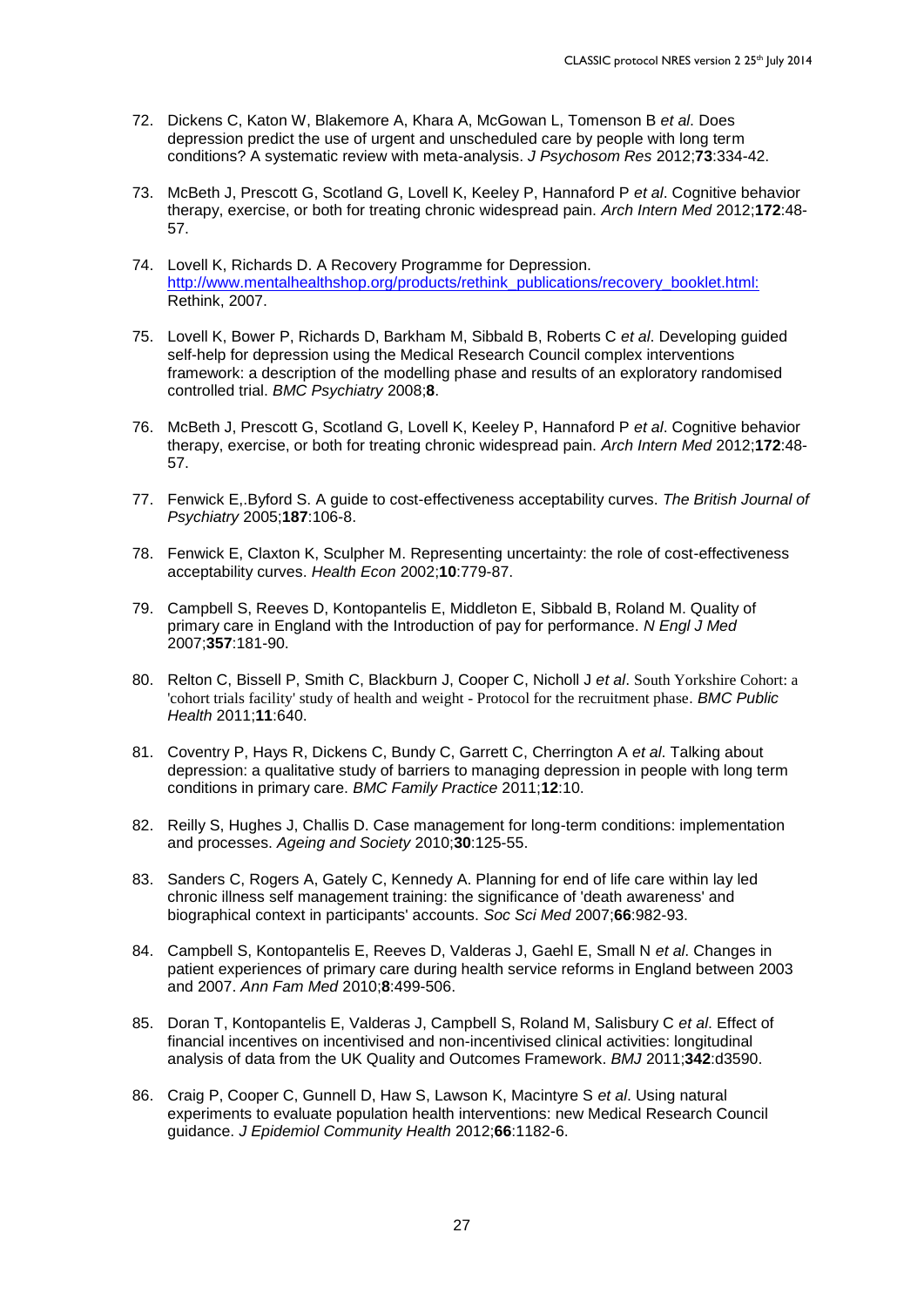- 72. Dickens C, Katon W, Blakemore A, Khara A, McGowan L, Tomenson B *et al*. Does depression predict the use of urgent and unscheduled care by people with long term conditions? A systematic review with meta-analysis. *J Psychosom Res* 2012;**73**:334-42.
- 73. McBeth J, Prescott G, Scotland G, Lovell K, Keeley P, Hannaford P *et al*. Cognitive behavior therapy, exercise, or both for treating chronic widespread pain. *Arch Intern Med* 2012;**172**:48- 57.
- 74. Lovell K, Richards D. A Recovery Programme for Depression. [http://www.mentalhealthshop.org/products/rethink\\_publications/recovery\\_booklet.html:](http://www.mentalhealthshop.org/products/rethink_publications/recovery_booklet.html:) Rethink, 2007.
- 75. Lovell K, Bower P, Richards D, Barkham M, Sibbald B, Roberts C *et al*. Developing guided self-help for depression using the Medical Research Council complex interventions framework: a description of the modelling phase and results of an exploratory randomised controlled trial. *BMC Psychiatry* 2008;**8**.
- 76. McBeth J, Prescott G, Scotland G, Lovell K, Keeley P, Hannaford P *et al*. Cognitive behavior therapy, exercise, or both for treating chronic widespread pain. *Arch Intern Med* 2012;**172**:48- 57.
- 77. Fenwick E,.Byford S. A guide to cost-effectiveness acceptability curves. *The British Journal of Psychiatry* 2005;**187**:106-8.
- 78. Fenwick E, Claxton K, Sculpher M. Representing uncertainty: the role of cost-effectiveness acceptability curves. *Health Econ* 2002;**10**:779-87.
- 79. Campbell S, Reeves D, Kontopantelis E, Middleton E, Sibbald B, Roland M. Quality of primary care in England with the Introduction of pay for performance. *N Engl J Med* 2007;**357**:181-90.
- 80. Relton C, Bissell P, Smith C, Blackburn J, Cooper C, Nicholl J *et al*. South Yorkshire Cohort: a 'cohort trials facility' study of health and weight - Protocol for the recruitment phase. *BMC Public Health* 2011;**11**:640.
- 81. Coventry P, Hays R, Dickens C, Bundy C, Garrett C, Cherrington A *et al*. Talking about depression: a qualitative study of barriers to managing depression in people with long term conditions in primary care. *BMC Family Practice* 2011;**12**:10.
- 82. Reilly S, Hughes J, Challis D. Case management for long-term conditions: implementation and processes. *Ageing and Society* 2010;**30**:125-55.
- 83. Sanders C, Rogers A, Gately C, Kennedy A. Planning for end of life care within lay led chronic illness self management training: the significance of 'death awareness' and biographical context in participants' accounts. *Soc Sci Med* 2007;**66**:982-93.
- 84. Campbell S, Kontopantelis E, Reeves D, Valderas J, Gaehl E, Small N *et al*. Changes in patient experiences of primary care during health service reforms in England between 2003 and 2007. *Ann Fam Med* 2010;**8**:499-506.
- 85. Doran T, Kontopantelis E, Valderas J, Campbell S, Roland M, Salisbury C *et al*. Effect of financial incentives on incentivised and non-incentivised clinical activities: longitudinal analysis of data from the UK Quality and Outcomes Framework. *BMJ* 2011;**342**:d3590.
- 86. Craig P, Cooper C, Gunnell D, Haw S, Lawson K, Macintyre S *et al*. Using natural experiments to evaluate population health interventions: new Medical Research Council guidance. *J Epidemiol Community Health* 2012;**66**:1182-6.